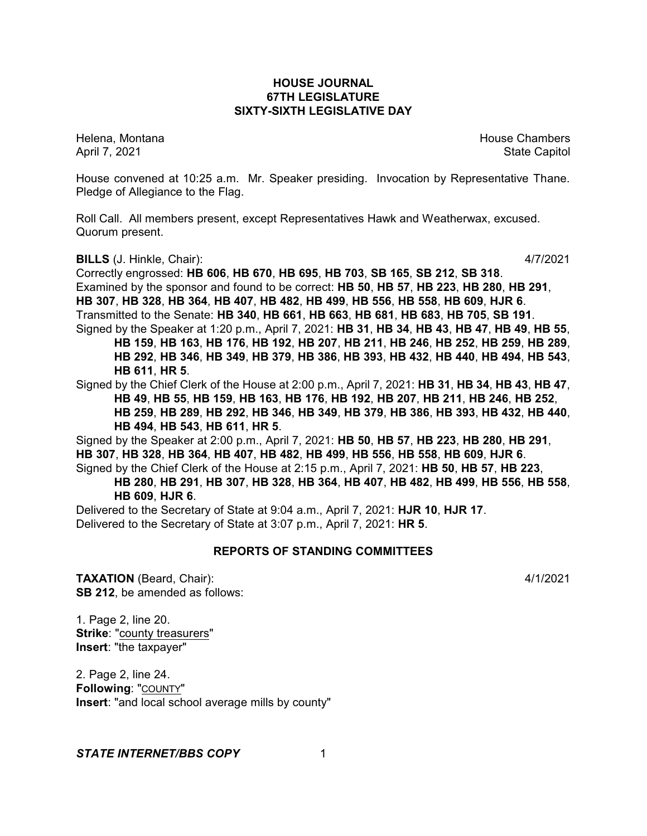# **HOUSE JOURNAL 67TH LEGISLATURE SIXTY-SIXTH LEGISLATIVE DAY**

Helena, Montana House Chambers Chambers Chambers and House Chambers Chambers Chambers Chambers and House Chambers and House Chambers and House Chambers and House Chambers and House Chambers and House Chambers and House Cha April 7, 2021 **State Capitol** 

House convened at 10:25 a.m. Mr. Speaker presiding. Invocation by Representative Thane. Pledge of Allegiance to the Flag.

Roll Call. All members present, except Representatives Hawk and Weatherwax, excused. Quorum present.

**BILLS** (J. Hinkle, Chair): 4/7/2021

Correctly engrossed: **HB 606**, **HB 670**, **HB 695**, **HB 703**, **SB 165**, **SB 212**, **SB 318**. Examined by the sponsor and found to be correct: **HB 50**, **HB 57**, **HB 223**, **HB 280**, **HB 291**, **HB 307**, **HB 328**, **HB 364**, **HB 407**, **HB 482**, **HB 499**, **HB 556**, **HB 558**, **HB 609**, **HJR 6**. Transmitted to the Senate: **HB 340**, **HB 661**, **HB 663**, **HB 681**, **HB 683**, **HB 705**, **SB 191**. Signed by the Speaker at 1:20 p.m., April 7, 2021: **HB 31**, **HB 34**, **HB 43**, **HB 47**, **HB 49**, **HB 55**,

**HB 159**, **HB 163**, **HB 176**, **HB 192**, **HB 207**, **HB 211**, **HB 246**, **HB 252**, **HB 259**, **HB 289**, **HB 292**, **HB 346**, **HB 349**, **HB 379**, **HB 386**, **HB 393**, **HB 432**, **HB 440**, **HB 494**, **HB 543**, **HB 611**, **HR 5**.

Signed by the Chief Clerk of the House at 2:00 p.m., April 7, 2021: **HB 31**, **HB 34**, **HB 43**, **HB 47**, **HB 49**, **HB 55**, **HB 159**, **HB 163**, **HB 176**, **HB 192**, **HB 207**, **HB 211**, **HB 246**, **HB 252**, **HB 259**, **HB 289**, **HB 292**, **HB 346**, **HB 349**, **HB 379**, **HB 386**, **HB 393**, **HB 432**, **HB 440**, **HB 494**, **HB 543**, **HB 611**, **HR 5**.

Signed by the Speaker at 2:00 p.m., April 7, 2021: **HB 50**, **HB 57**, **HB 223**, **HB 280**, **HB 291**, **HB 307**, **HB 328**, **HB 364**, **HB 407**, **HB 482**, **HB 499**, **HB 556**, **HB 558**, **HB 609**, **HJR 6**. Signed by the Chief Clerk of the House at 2:15 p.m., April 7, 2021: **HB 50**, **HB 57**, **HB 223**, **HB 280**, **HB 291**, **HB 307**, **HB 328**, **HB 364**, **HB 407**, **HB 482**, **HB 499**, **HB 556**, **HB 558**,

# **HB 609**, **HJR 6**.

Delivered to the Secretary of State at 9:04 a.m., April 7, 2021: **HJR 10**, **HJR 17**. Delivered to the Secretary of State at 3:07 p.m., April 7, 2021: **HR 5**.

# **REPORTS OF STANDING COMMITTEES**

**TAXATION** (Beard, Chair): 4/1/2021 **SB 212**, be amended as follows:

1. Page 2, line 20. **Strike**: "county treasurers" **Insert**: "the taxpayer"

2. Page 2, line 24. **Following**: "COUNTY" **Insert**: "and local school average mills by county"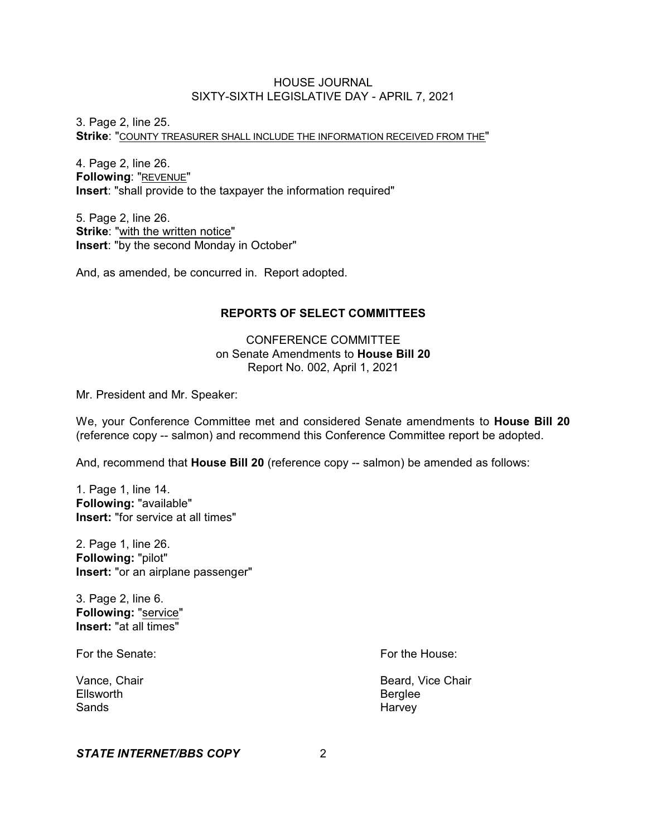3. Page 2, line 25. **Strike**: "COUNTY TREASURER SHALL INCLUDE THE INFORMATION RECEIVED FROM THE"

4. Page 2, line 26. **Following**: "REVENUE" **Insert**: "shall provide to the taxpayer the information required"

5. Page 2, line 26. **Strike**: "with the written notice" **Insert**: "by the second Monday in October"

And, as amended, be concurred in. Report adopted.

# **REPORTS OF SELECT COMMITTEES**

CONFERENCE COMMITTEE on Senate Amendments to **House Bill 20** Report No. 002, April 1, 2021

Mr. President and Mr. Speaker:

We, your Conference Committee met and considered Senate amendments to **House Bill 20** (reference copy -- salmon) and recommend this Conference Committee report be adopted.

And, recommend that **House Bill 20** (reference copy -- salmon) be amended as follows:

1. Page 1, line 14. **Following:** "available" **Insert:** "for service at all times"

2. Page 1, line 26. **Following:** "pilot" **Insert:** "or an airplane passenger"

3. Page 2, line 6. **Following:** "service" **Insert:** "at all times"

For the Senate: For the House:

Ellsworth **Berglee** Sands **Harvey** 

Vance, Chair **Beard, Vice Chair Beard**, Vice Chair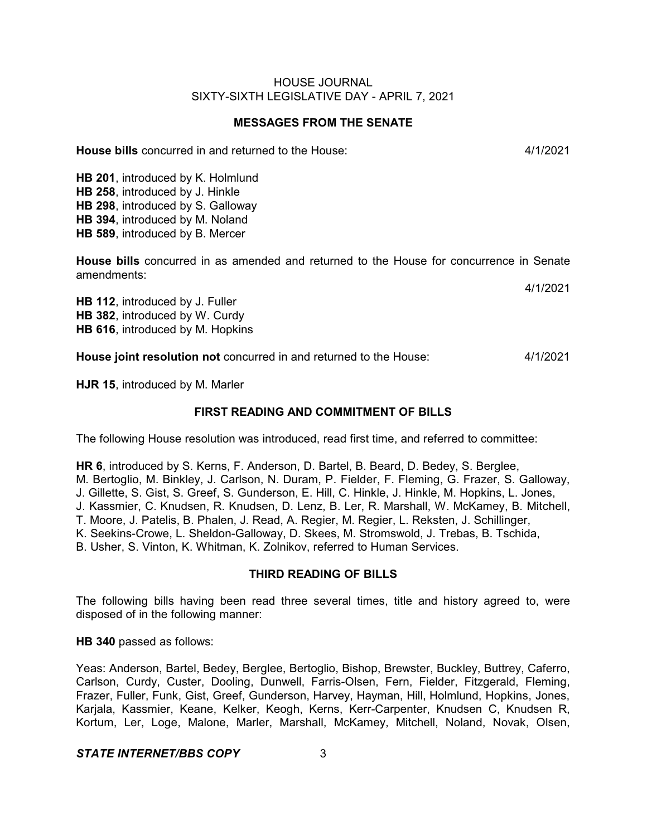# **MESSAGES FROM THE SENATE**

**House bills** concurred in and returned to the House: 4/1/2021

**HB 201**, introduced by K. Holmlund **HB 258**, introduced by J. Hinkle **HB 298**, introduced by S. Galloway **HB 394**, introduced by M. Noland **HB 589**, introduced by B. Mercer

**House bills** concurred in as amended and returned to the House for concurrence in Senate amendments:

**HB 112**, introduced by J. Fuller **HB 382**, introduced by W. Curdy **HB 616**, introduced by M. Hopkins

**House joint resolution not** concurred in and returned to the House: 4/1/2021

**HJR 15**, introduced by M. Marler

# **FIRST READING AND COMMITMENT OF BILLS**

The following House resolution was introduced, read first time, and referred to committee:

**HR 6**, introduced by S. Kerns, F. Anderson, D. Bartel, B. Beard, D. Bedey, S. Berglee, M. Bertoglio, M. Binkley, J. Carlson, N. Duram, P. Fielder, F. Fleming, G. Frazer, S. Galloway, J. Gillette, S. Gist, S. Greef, S. Gunderson, E. Hill, C. Hinkle, J. Hinkle, M. Hopkins, L. Jones, J. Kassmier, C. Knudsen, R. Knudsen, D. Lenz, B. Ler, R. Marshall, W. McKamey, B. Mitchell, T. Moore, J. Patelis, B. Phalen, J. Read, A. Regier, M. Regier, L. Reksten, J. Schillinger, K. Seekins-Crowe, L. Sheldon-Galloway, D. Skees, M. Stromswold, J. Trebas, B. Tschida, B. Usher, S. Vinton, K. Whitman, K. Zolnikov, referred to Human Services.

# **THIRD READING OF BILLS**

The following bills having been read three several times, title and history agreed to, were disposed of in the following manner:

**HB 340** passed as follows:

Yeas: Anderson, Bartel, Bedey, Berglee, Bertoglio, Bishop, Brewster, Buckley, Buttrey, Caferro, Carlson, Curdy, Custer, Dooling, Dunwell, Farris-Olsen, Fern, Fielder, Fitzgerald, Fleming, Frazer, Fuller, Funk, Gist, Greef, Gunderson, Harvey, Hayman, Hill, Holmlund, Hopkins, Jones, Karjala, Kassmier, Keane, Kelker, Keogh, Kerns, Kerr-Carpenter, Knudsen C, Knudsen R, Kortum, Ler, Loge, Malone, Marler, Marshall, McKamey, Mitchell, Noland, Novak, Olsen,

# *STATE INTERNET/BBS COPY* 3

4/1/2021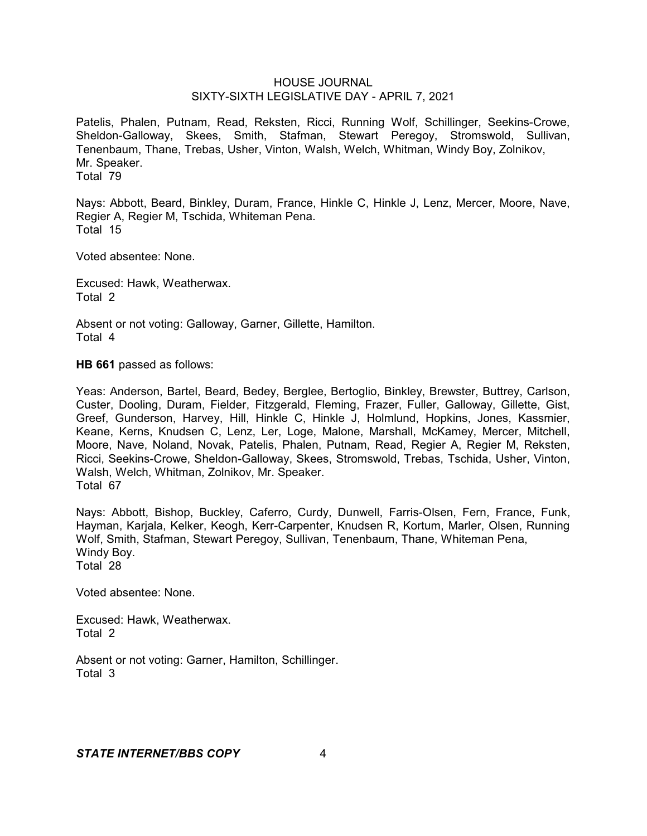Patelis, Phalen, Putnam, Read, Reksten, Ricci, Running Wolf, Schillinger, Seekins-Crowe, Sheldon-Galloway, Skees, Smith, Stafman, Stewart Peregoy, Stromswold, Sullivan, Tenenbaum, Thane, Trebas, Usher, Vinton, Walsh, Welch, Whitman, Windy Boy, Zolnikov, Mr. Speaker. Total 79

Nays: Abbott, Beard, Binkley, Duram, France, Hinkle C, Hinkle J, Lenz, Mercer, Moore, Nave, Regier A, Regier M, Tschida, Whiteman Pena. Total 15

Voted absentee: None.

Excused: Hawk, Weatherwax. Total 2

Absent or not voting: Galloway, Garner, Gillette, Hamilton. Total 4

**HB 661** passed as follows:

Yeas: Anderson, Bartel, Beard, Bedey, Berglee, Bertoglio, Binkley, Brewster, Buttrey, Carlson, Custer, Dooling, Duram, Fielder, Fitzgerald, Fleming, Frazer, Fuller, Galloway, Gillette, Gist, Greef, Gunderson, Harvey, Hill, Hinkle C, Hinkle J, Holmlund, Hopkins, Jones, Kassmier, Keane, Kerns, Knudsen C, Lenz, Ler, Loge, Malone, Marshall, McKamey, Mercer, Mitchell, Moore, Nave, Noland, Novak, Patelis, Phalen, Putnam, Read, Regier A, Regier M, Reksten, Ricci, Seekins-Crowe, Sheldon-Galloway, Skees, Stromswold, Trebas, Tschida, Usher, Vinton, Walsh, Welch, Whitman, Zolnikov, Mr. Speaker. Total 67

Nays: Abbott, Bishop, Buckley, Caferro, Curdy, Dunwell, Farris-Olsen, Fern, France, Funk, Hayman, Karjala, Kelker, Keogh, Kerr-Carpenter, Knudsen R, Kortum, Marler, Olsen, Running Wolf, Smith, Stafman, Stewart Peregoy, Sullivan, Tenenbaum, Thane, Whiteman Pena, Windy Boy. Total 28

Voted absentee: None.

Excused: Hawk, Weatherwax. Total 2

Absent or not voting: Garner, Hamilton, Schillinger. Total 3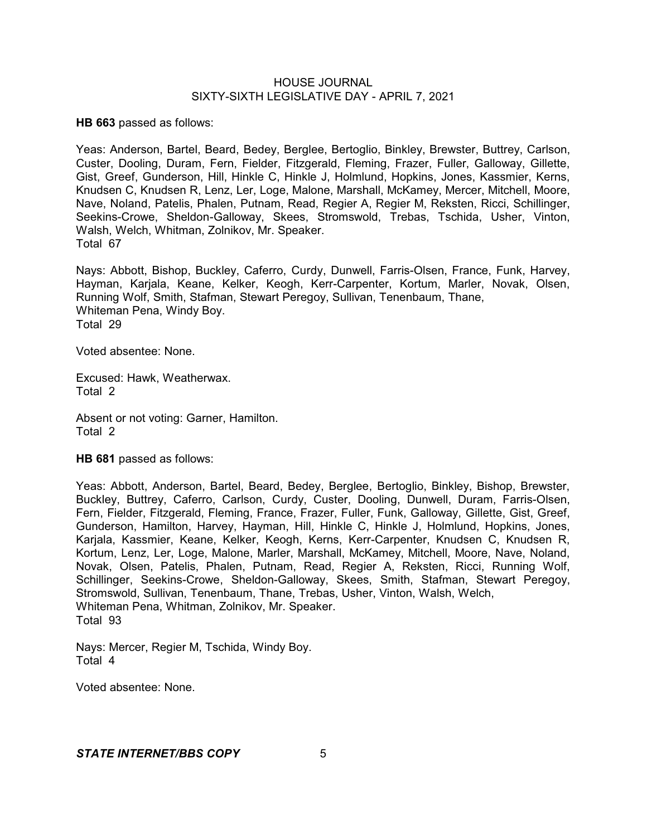**HB 663** passed as follows:

Yeas: Anderson, Bartel, Beard, Bedey, Berglee, Bertoglio, Binkley, Brewster, Buttrey, Carlson, Custer, Dooling, Duram, Fern, Fielder, Fitzgerald, Fleming, Frazer, Fuller, Galloway, Gillette, Gist, Greef, Gunderson, Hill, Hinkle C, Hinkle J, Holmlund, Hopkins, Jones, Kassmier, Kerns, Knudsen C, Knudsen R, Lenz, Ler, Loge, Malone, Marshall, McKamey, Mercer, Mitchell, Moore, Nave, Noland, Patelis, Phalen, Putnam, Read, Regier A, Regier M, Reksten, Ricci, Schillinger, Seekins-Crowe, Sheldon-Galloway, Skees, Stromswold, Trebas, Tschida, Usher, Vinton, Walsh, Welch, Whitman, Zolnikov, Mr. Speaker. Total 67

Nays: Abbott, Bishop, Buckley, Caferro, Curdy, Dunwell, Farris-Olsen, France, Funk, Harvey, Hayman, Karjala, Keane, Kelker, Keogh, Kerr-Carpenter, Kortum, Marler, Novak, Olsen, Running Wolf, Smith, Stafman, Stewart Peregoy, Sullivan, Tenenbaum, Thane, Whiteman Pena, Windy Boy. Total 29

Voted absentee: None.

Excused: Hawk, Weatherwax. Total 2

Absent or not voting: Garner, Hamilton. Total 2

**HB 681** passed as follows:

Yeas: Abbott, Anderson, Bartel, Beard, Bedey, Berglee, Bertoglio, Binkley, Bishop, Brewster, Buckley, Buttrey, Caferro, Carlson, Curdy, Custer, Dooling, Dunwell, Duram, Farris-Olsen, Fern, Fielder, Fitzgerald, Fleming, France, Frazer, Fuller, Funk, Galloway, Gillette, Gist, Greef, Gunderson, Hamilton, Harvey, Hayman, Hill, Hinkle C, Hinkle J, Holmlund, Hopkins, Jones, Karjala, Kassmier, Keane, Kelker, Keogh, Kerns, Kerr-Carpenter, Knudsen C, Knudsen R, Kortum, Lenz, Ler, Loge, Malone, Marler, Marshall, McKamey, Mitchell, Moore, Nave, Noland, Novak, Olsen, Patelis, Phalen, Putnam, Read, Regier A, Reksten, Ricci, Running Wolf, Schillinger, Seekins-Crowe, Sheldon-Galloway, Skees, Smith, Stafman, Stewart Peregoy, Stromswold, Sullivan, Tenenbaum, Thane, Trebas, Usher, Vinton, Walsh, Welch, Whiteman Pena, Whitman, Zolnikov, Mr. Speaker. Total 93

Nays: Mercer, Regier M, Tschida, Windy Boy. Total 4

Voted absentee: None.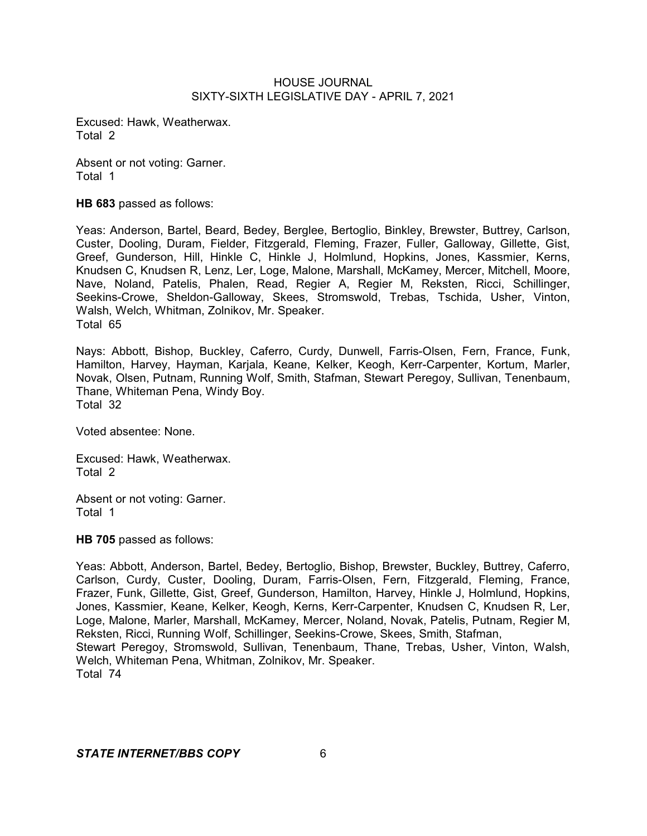Excused: Hawk, Weatherwax. Total 2

Absent or not voting: Garner. Total 1

**HB 683** passed as follows:

Yeas: Anderson, Bartel, Beard, Bedey, Berglee, Bertoglio, Binkley, Brewster, Buttrey, Carlson, Custer, Dooling, Duram, Fielder, Fitzgerald, Fleming, Frazer, Fuller, Galloway, Gillette, Gist, Greef, Gunderson, Hill, Hinkle C, Hinkle J, Holmlund, Hopkins, Jones, Kassmier, Kerns, Knudsen C, Knudsen R, Lenz, Ler, Loge, Malone, Marshall, McKamey, Mercer, Mitchell, Moore, Nave, Noland, Patelis, Phalen, Read, Regier A, Regier M, Reksten, Ricci, Schillinger, Seekins-Crowe, Sheldon-Galloway, Skees, Stromswold, Trebas, Tschida, Usher, Vinton, Walsh, Welch, Whitman, Zolnikov, Mr. Speaker. Total 65

Nays: Abbott, Bishop, Buckley, Caferro, Curdy, Dunwell, Farris-Olsen, Fern, France, Funk, Hamilton, Harvey, Hayman, Karjala, Keane, Kelker, Keogh, Kerr-Carpenter, Kortum, Marler, Novak, Olsen, Putnam, Running Wolf, Smith, Stafman, Stewart Peregoy, Sullivan, Tenenbaum, Thane, Whiteman Pena, Windy Boy. Total 32

Voted absentee: None.

Excused: Hawk, Weatherwax. Total 2

Absent or not voting: Garner. Total 1

**HB 705** passed as follows:

Yeas: Abbott, Anderson, Bartel, Bedey, Bertoglio, Bishop, Brewster, Buckley, Buttrey, Caferro, Carlson, Curdy, Custer, Dooling, Duram, Farris-Olsen, Fern, Fitzgerald, Fleming, France, Frazer, Funk, Gillette, Gist, Greef, Gunderson, Hamilton, Harvey, Hinkle J, Holmlund, Hopkins, Jones, Kassmier, Keane, Kelker, Keogh, Kerns, Kerr-Carpenter, Knudsen C, Knudsen R, Ler, Loge, Malone, Marler, Marshall, McKamey, Mercer, Noland, Novak, Patelis, Putnam, Regier M, Reksten, Ricci, Running Wolf, Schillinger, Seekins-Crowe, Skees, Smith, Stafman, Stewart Peregoy, Stromswold, Sullivan, Tenenbaum, Thane, Trebas, Usher, Vinton, Walsh, Welch, Whiteman Pena, Whitman, Zolnikov, Mr. Speaker. Total 74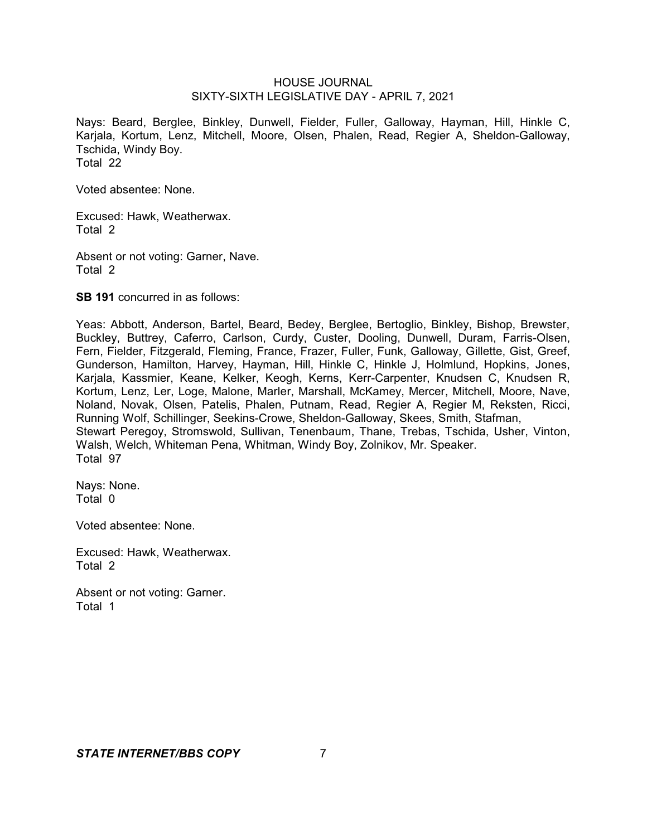Nays: Beard, Berglee, Binkley, Dunwell, Fielder, Fuller, Galloway, Hayman, Hill, Hinkle C, Karjala, Kortum, Lenz, Mitchell, Moore, Olsen, Phalen, Read, Regier A, Sheldon-Galloway, Tschida, Windy Boy. Total 22

Voted absentee: None.

Excused: Hawk, Weatherwax. Total 2

Absent or not voting: Garner, Nave. Total 2

**SB 191** concurred in as follows:

Yeas: Abbott, Anderson, Bartel, Beard, Bedey, Berglee, Bertoglio, Binkley, Bishop, Brewster, Buckley, Buttrey, Caferro, Carlson, Curdy, Custer, Dooling, Dunwell, Duram, Farris-Olsen, Fern, Fielder, Fitzgerald, Fleming, France, Frazer, Fuller, Funk, Galloway, Gillette, Gist, Greef, Gunderson, Hamilton, Harvey, Hayman, Hill, Hinkle C, Hinkle J, Holmlund, Hopkins, Jones, Karjala, Kassmier, Keane, Kelker, Keogh, Kerns, Kerr-Carpenter, Knudsen C, Knudsen R, Kortum, Lenz, Ler, Loge, Malone, Marler, Marshall, McKamey, Mercer, Mitchell, Moore, Nave, Noland, Novak, Olsen, Patelis, Phalen, Putnam, Read, Regier A, Regier M, Reksten, Ricci, Running Wolf, Schillinger, Seekins-Crowe, Sheldon-Galloway, Skees, Smith, Stafman, Stewart Peregoy, Stromswold, Sullivan, Tenenbaum, Thane, Trebas, Tschida, Usher, Vinton, Walsh, Welch, Whiteman Pena, Whitman, Windy Boy, Zolnikov, Mr. Speaker. Total 97

Nays: None. Total 0

Voted absentee: None.

Excused: Hawk, Weatherwax. Total 2

Absent or not voting: Garner. Total 1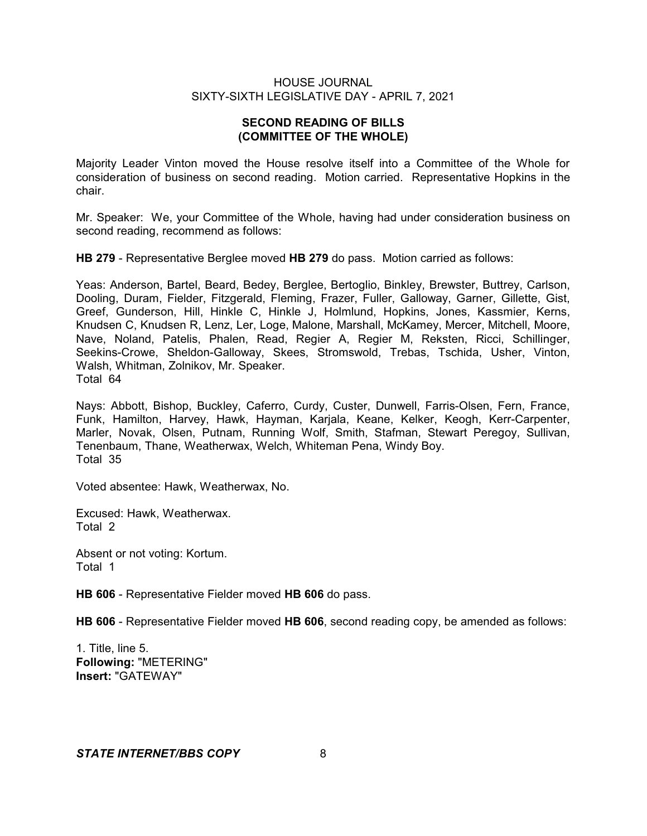# **SECOND READING OF BILLS (COMMITTEE OF THE WHOLE)**

Majority Leader Vinton moved the House resolve itself into a Committee of the Whole for consideration of business on second reading. Motion carried. Representative Hopkins in the chair.

Mr. Speaker: We, your Committee of the Whole, having had under consideration business on second reading, recommend as follows:

**HB 279** - Representative Berglee moved **HB 279** do pass. Motion carried as follows:

Yeas: Anderson, Bartel, Beard, Bedey, Berglee, Bertoglio, Binkley, Brewster, Buttrey, Carlson, Dooling, Duram, Fielder, Fitzgerald, Fleming, Frazer, Fuller, Galloway, Garner, Gillette, Gist, Greef, Gunderson, Hill, Hinkle C, Hinkle J, Holmlund, Hopkins, Jones, Kassmier, Kerns, Knudsen C, Knudsen R, Lenz, Ler, Loge, Malone, Marshall, McKamey, Mercer, Mitchell, Moore, Nave, Noland, Patelis, Phalen, Read, Regier A, Regier M, Reksten, Ricci, Schillinger, Seekins-Crowe, Sheldon-Galloway, Skees, Stromswold, Trebas, Tschida, Usher, Vinton, Walsh, Whitman, Zolnikov, Mr. Speaker. Total 64

Nays: Abbott, Bishop, Buckley, Caferro, Curdy, Custer, Dunwell, Farris-Olsen, Fern, France, Funk, Hamilton, Harvey, Hawk, Hayman, Karjala, Keane, Kelker, Keogh, Kerr-Carpenter, Marler, Novak, Olsen, Putnam, Running Wolf, Smith, Stafman, Stewart Peregoy, Sullivan, Tenenbaum, Thane, Weatherwax, Welch, Whiteman Pena, Windy Boy. Total 35

Voted absentee: Hawk, Weatherwax, No.

Excused: Hawk, Weatherwax. Total 2

Absent or not voting: Kortum. Total 1

**HB 606** - Representative Fielder moved **HB 606** do pass.

**HB 606** - Representative Fielder moved **HB 606**, second reading copy, be amended as follows:

1. Title, line 5. **Following:** "METERING" **Insert:** "GATEWAY"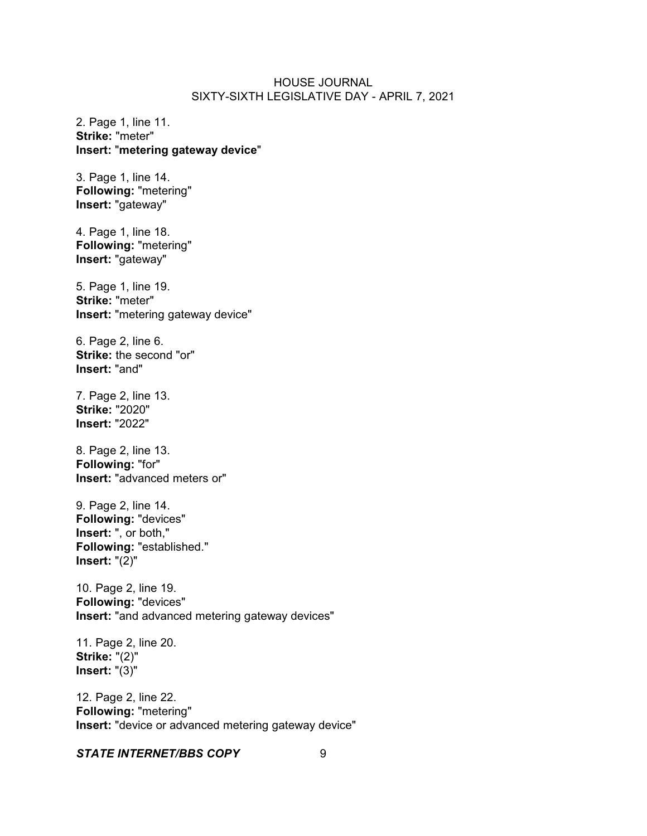2. Page 1, line 11. **Strike:** "meter" **Insert:** "**metering gateway device**"

3. Page 1, line 14. **Following:** "metering" **Insert:** "gateway"

4. Page 1, line 18. **Following:** "metering" **Insert:** "gateway"

5. Page 1, line 19. **Strike:** "meter" **Insert:** "metering gateway device"

6. Page 2, line 6. **Strike:** the second "or" **Insert:** "and"

7. Page 2, line 13. **Strike:** "2020" **Insert:** "2022"

8. Page 2, line 13. **Following:** "for" **Insert:** "advanced meters or"

9. Page 2, line 14. **Following:** "devices" **Insert:** ", or both," **Following:** "established." **Insert:** "(2)"

10. Page 2, line 19. **Following:** "devices" **Insert:** "and advanced metering gateway devices"

11. Page 2, line 20. **Strike:** "(2)" **Insert:** "(3)"

12. Page 2, line 22. **Following:** "metering" **Insert:** "device or advanced metering gateway device"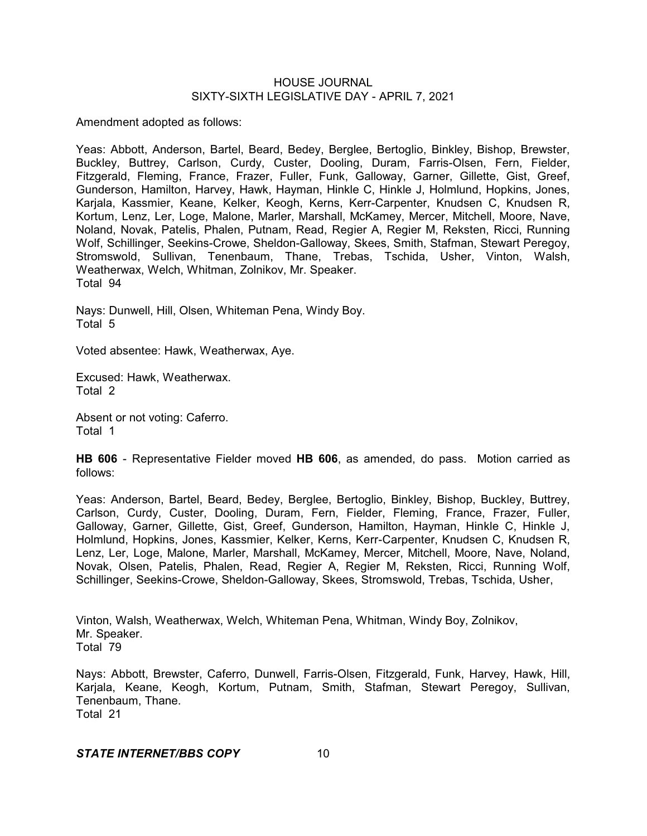Amendment adopted as follows:

Yeas: Abbott, Anderson, Bartel, Beard, Bedey, Berglee, Bertoglio, Binkley, Bishop, Brewster, Buckley, Buttrey, Carlson, Curdy, Custer, Dooling, Duram, Farris-Olsen, Fern, Fielder, Fitzgerald, Fleming, France, Frazer, Fuller, Funk, Galloway, Garner, Gillette, Gist, Greef, Gunderson, Hamilton, Harvey, Hawk, Hayman, Hinkle C, Hinkle J, Holmlund, Hopkins, Jones, Karjala, Kassmier, Keane, Kelker, Keogh, Kerns, Kerr-Carpenter, Knudsen C, Knudsen R, Kortum, Lenz, Ler, Loge, Malone, Marler, Marshall, McKamey, Mercer, Mitchell, Moore, Nave, Noland, Novak, Patelis, Phalen, Putnam, Read, Regier A, Regier M, Reksten, Ricci, Running Wolf, Schillinger, Seekins-Crowe, Sheldon-Galloway, Skees, Smith, Stafman, Stewart Peregoy, Stromswold, Sullivan, Tenenbaum, Thane, Trebas, Tschida, Usher, Vinton, Walsh, Weatherwax, Welch, Whitman, Zolnikov, Mr. Speaker. Total 94

Nays: Dunwell, Hill, Olsen, Whiteman Pena, Windy Boy. Total 5

Voted absentee: Hawk, Weatherwax, Aye.

Excused: Hawk, Weatherwax. Total 2

Absent or not voting: Caferro. Total 1

**HB 606** - Representative Fielder moved **HB 606**, as amended, do pass. Motion carried as follows:

Yeas: Anderson, Bartel, Beard, Bedey, Berglee, Bertoglio, Binkley, Bishop, Buckley, Buttrey, Carlson, Curdy, Custer, Dooling, Duram, Fern, Fielder, Fleming, France, Frazer, Fuller, Galloway, Garner, Gillette, Gist, Greef, Gunderson, Hamilton, Hayman, Hinkle C, Hinkle J, Holmlund, Hopkins, Jones, Kassmier, Kelker, Kerns, Kerr-Carpenter, Knudsen C, Knudsen R, Lenz, Ler, Loge, Malone, Marler, Marshall, McKamey, Mercer, Mitchell, Moore, Nave, Noland, Novak, Olsen, Patelis, Phalen, Read, Regier A, Regier M, Reksten, Ricci, Running Wolf, Schillinger, Seekins-Crowe, Sheldon-Galloway, Skees, Stromswold, Trebas, Tschida, Usher,

Vinton, Walsh, Weatherwax, Welch, Whiteman Pena, Whitman, Windy Boy, Zolnikov, Mr. Speaker. Total 79

Nays: Abbott, Brewster, Caferro, Dunwell, Farris-Olsen, Fitzgerald, Funk, Harvey, Hawk, Hill, Karjala, Keane, Keogh, Kortum, Putnam, Smith, Stafman, Stewart Peregoy, Sullivan, Tenenbaum, Thane. Total 21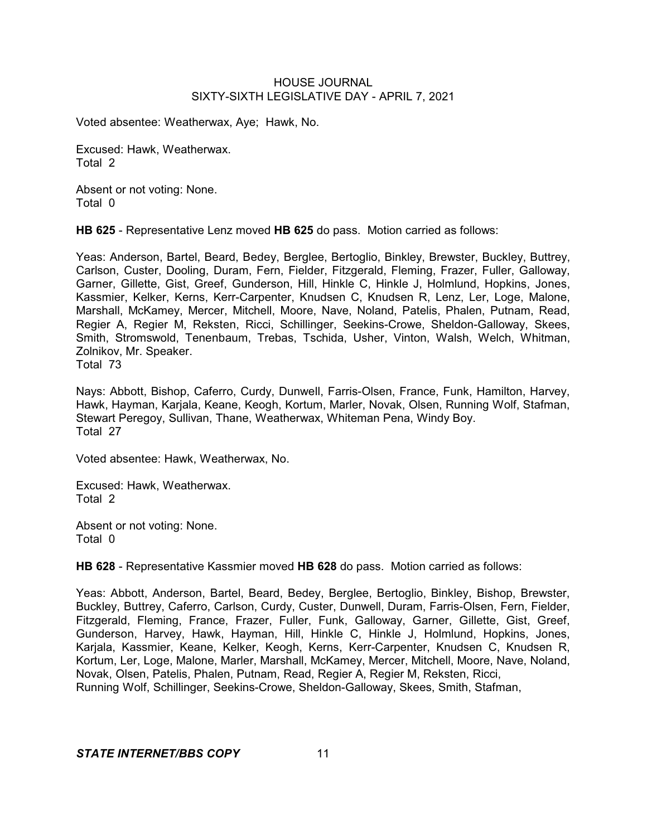Voted absentee: Weatherwax, Aye; Hawk, No.

Excused: Hawk, Weatherwax. Total 2

Absent or not voting: None. Total 0

**HB 625** - Representative Lenz moved **HB 625** do pass. Motion carried as follows:

Yeas: Anderson, Bartel, Beard, Bedey, Berglee, Bertoglio, Binkley, Brewster, Buckley, Buttrey, Carlson, Custer, Dooling, Duram, Fern, Fielder, Fitzgerald, Fleming, Frazer, Fuller, Galloway, Garner, Gillette, Gist, Greef, Gunderson, Hill, Hinkle C, Hinkle J, Holmlund, Hopkins, Jones, Kassmier, Kelker, Kerns, Kerr-Carpenter, Knudsen C, Knudsen R, Lenz, Ler, Loge, Malone, Marshall, McKamey, Mercer, Mitchell, Moore, Nave, Noland, Patelis, Phalen, Putnam, Read, Regier A, Regier M, Reksten, Ricci, Schillinger, Seekins-Crowe, Sheldon-Galloway, Skees, Smith, Stromswold, Tenenbaum, Trebas, Tschida, Usher, Vinton, Walsh, Welch, Whitman, Zolnikov, Mr. Speaker. Total 73

Nays: Abbott, Bishop, Caferro, Curdy, Dunwell, Farris-Olsen, France, Funk, Hamilton, Harvey, Hawk, Hayman, Karjala, Keane, Keogh, Kortum, Marler, Novak, Olsen, Running Wolf, Stafman, Stewart Peregoy, Sullivan, Thane, Weatherwax, Whiteman Pena, Windy Boy. Total 27

Voted absentee: Hawk, Weatherwax, No.

Excused: Hawk, Weatherwax. Total 2

Absent or not voting: None. Total 0

**HB 628** - Representative Kassmier moved **HB 628** do pass. Motion carried as follows:

Yeas: Abbott, Anderson, Bartel, Beard, Bedey, Berglee, Bertoglio, Binkley, Bishop, Brewster, Buckley, Buttrey, Caferro, Carlson, Curdy, Custer, Dunwell, Duram, Farris-Olsen, Fern, Fielder, Fitzgerald, Fleming, France, Frazer, Fuller, Funk, Galloway, Garner, Gillette, Gist, Greef, Gunderson, Harvey, Hawk, Hayman, Hill, Hinkle C, Hinkle J, Holmlund, Hopkins, Jones, Karjala, Kassmier, Keane, Kelker, Keogh, Kerns, Kerr-Carpenter, Knudsen C, Knudsen R, Kortum, Ler, Loge, Malone, Marler, Marshall, McKamey, Mercer, Mitchell, Moore, Nave, Noland, Novak, Olsen, Patelis, Phalen, Putnam, Read, Regier A, Regier M, Reksten, Ricci, Running Wolf, Schillinger, Seekins-Crowe, Sheldon-Galloway, Skees, Smith, Stafman,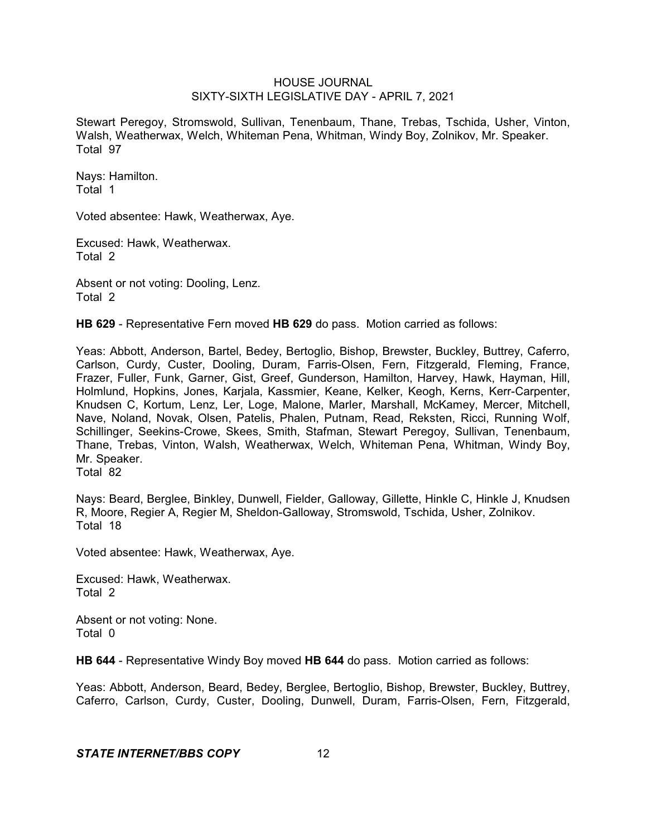Stewart Peregoy, Stromswold, Sullivan, Tenenbaum, Thane, Trebas, Tschida, Usher, Vinton, Walsh, Weatherwax, Welch, Whiteman Pena, Whitman, Windy Boy, Zolnikov, Mr. Speaker. Total 97

Nays: Hamilton. Total 1

Voted absentee: Hawk, Weatherwax, Aye.

Excused: Hawk, Weatherwax. Total 2

Absent or not voting: Dooling, Lenz. Total 2

**HB 629** - Representative Fern moved **HB 629** do pass. Motion carried as follows:

Yeas: Abbott, Anderson, Bartel, Bedey, Bertoglio, Bishop, Brewster, Buckley, Buttrey, Caferro, Carlson, Curdy, Custer, Dooling, Duram, Farris-Olsen, Fern, Fitzgerald, Fleming, France, Frazer, Fuller, Funk, Garner, Gist, Greef, Gunderson, Hamilton, Harvey, Hawk, Hayman, Hill, Holmlund, Hopkins, Jones, Karjala, Kassmier, Keane, Kelker, Keogh, Kerns, Kerr-Carpenter, Knudsen C, Kortum, Lenz, Ler, Loge, Malone, Marler, Marshall, McKamey, Mercer, Mitchell, Nave, Noland, Novak, Olsen, Patelis, Phalen, Putnam, Read, Reksten, Ricci, Running Wolf, Schillinger, Seekins-Crowe, Skees, Smith, Stafman, Stewart Peregoy, Sullivan, Tenenbaum, Thane, Trebas, Vinton, Walsh, Weatherwax, Welch, Whiteman Pena, Whitman, Windy Boy, Mr. Speaker. Total 82

Nays: Beard, Berglee, Binkley, Dunwell, Fielder, Galloway, Gillette, Hinkle C, Hinkle J, Knudsen R, Moore, Regier A, Regier M, Sheldon-Galloway, Stromswold, Tschida, Usher, Zolnikov. Total 18

Voted absentee: Hawk, Weatherwax, Aye.

Excused: Hawk, Weatherwax. Total 2

Absent or not voting: None. Total 0

**HB 644** - Representative Windy Boy moved **HB 644** do pass. Motion carried as follows:

Yeas: Abbott, Anderson, Beard, Bedey, Berglee, Bertoglio, Bishop, Brewster, Buckley, Buttrey, Caferro, Carlson, Curdy, Custer, Dooling, Dunwell, Duram, Farris-Olsen, Fern, Fitzgerald,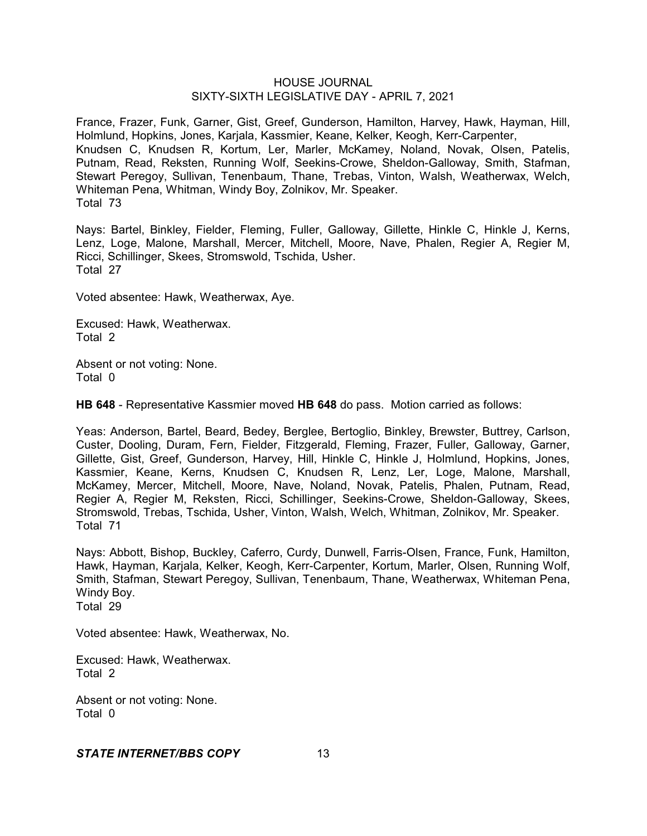France, Frazer, Funk, Garner, Gist, Greef, Gunderson, Hamilton, Harvey, Hawk, Hayman, Hill, Holmlund, Hopkins, Jones, Karjala, Kassmier, Keane, Kelker, Keogh, Kerr-Carpenter, Knudsen C, Knudsen R, Kortum, Ler, Marler, McKamey, Noland, Novak, Olsen, Patelis, Putnam, Read, Reksten, Running Wolf, Seekins-Crowe, Sheldon-Galloway, Smith, Stafman, Stewart Peregoy, Sullivan, Tenenbaum, Thane, Trebas, Vinton, Walsh, Weatherwax, Welch, Whiteman Pena, Whitman, Windy Boy, Zolnikov, Mr. Speaker. Total 73

Nays: Bartel, Binkley, Fielder, Fleming, Fuller, Galloway, Gillette, Hinkle C, Hinkle J, Kerns, Lenz, Loge, Malone, Marshall, Mercer, Mitchell, Moore, Nave, Phalen, Regier A, Regier M, Ricci, Schillinger, Skees, Stromswold, Tschida, Usher. Total 27

Voted absentee: Hawk, Weatherwax, Aye.

Excused: Hawk, Weatherwax. Total 2

Absent or not voting: None. Total 0

**HB 648** - Representative Kassmier moved **HB 648** do pass. Motion carried as follows:

Yeas: Anderson, Bartel, Beard, Bedey, Berglee, Bertoglio, Binkley, Brewster, Buttrey, Carlson, Custer, Dooling, Duram, Fern, Fielder, Fitzgerald, Fleming, Frazer, Fuller, Galloway, Garner, Gillette, Gist, Greef, Gunderson, Harvey, Hill, Hinkle C, Hinkle J, Holmlund, Hopkins, Jones, Kassmier, Keane, Kerns, Knudsen C, Knudsen R, Lenz, Ler, Loge, Malone, Marshall, McKamey, Mercer, Mitchell, Moore, Nave, Noland, Novak, Patelis, Phalen, Putnam, Read, Regier A, Regier M, Reksten, Ricci, Schillinger, Seekins-Crowe, Sheldon-Galloway, Skees, Stromswold, Trebas, Tschida, Usher, Vinton, Walsh, Welch, Whitman, Zolnikov, Mr. Speaker. Total 71

Nays: Abbott, Bishop, Buckley, Caferro, Curdy, Dunwell, Farris-Olsen, France, Funk, Hamilton, Hawk, Hayman, Karjala, Kelker, Keogh, Kerr-Carpenter, Kortum, Marler, Olsen, Running Wolf, Smith, Stafman, Stewart Peregoy, Sullivan, Tenenbaum, Thane, Weatherwax, Whiteman Pena, Windy Boy. Total 29

Voted absentee: Hawk, Weatherwax, No.

Excused: Hawk, Weatherwax. Total 2

Absent or not voting: None. Total 0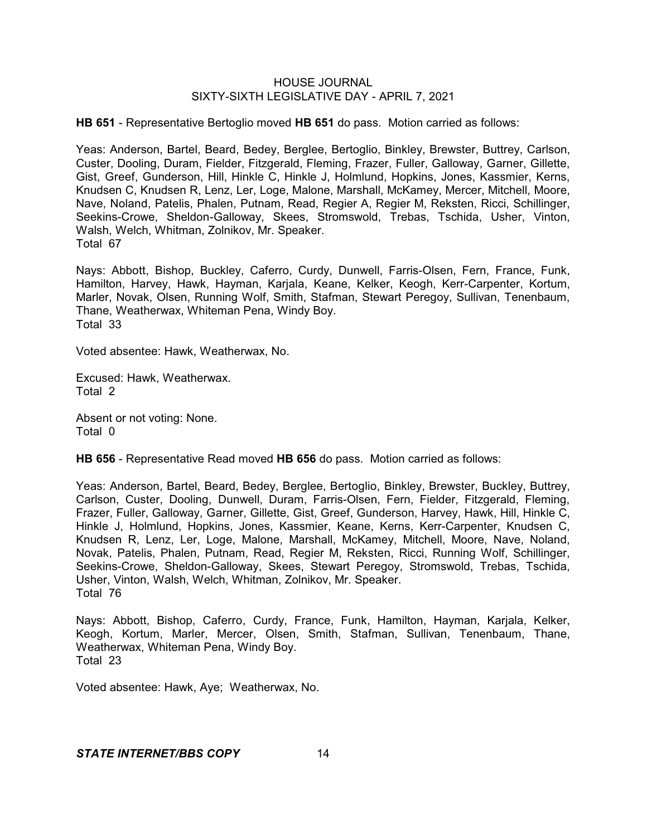**HB 651** - Representative Bertoglio moved **HB 651** do pass. Motion carried as follows:

Yeas: Anderson, Bartel, Beard, Bedey, Berglee, Bertoglio, Binkley, Brewster, Buttrey, Carlson, Custer, Dooling, Duram, Fielder, Fitzgerald, Fleming, Frazer, Fuller, Galloway, Garner, Gillette, Gist, Greef, Gunderson, Hill, Hinkle C, Hinkle J, Holmlund, Hopkins, Jones, Kassmier, Kerns, Knudsen C, Knudsen R, Lenz, Ler, Loge, Malone, Marshall, McKamey, Mercer, Mitchell, Moore, Nave, Noland, Patelis, Phalen, Putnam, Read, Regier A, Regier M, Reksten, Ricci, Schillinger, Seekins-Crowe, Sheldon-Galloway, Skees, Stromswold, Trebas, Tschida, Usher, Vinton, Walsh, Welch, Whitman, Zolnikov, Mr. Speaker. Total 67

Nays: Abbott, Bishop, Buckley, Caferro, Curdy, Dunwell, Farris-Olsen, Fern, France, Funk, Hamilton, Harvey, Hawk, Hayman, Karjala, Keane, Kelker, Keogh, Kerr-Carpenter, Kortum, Marler, Novak, Olsen, Running Wolf, Smith, Stafman, Stewart Peregoy, Sullivan, Tenenbaum, Thane, Weatherwax, Whiteman Pena, Windy Boy. Total 33

Voted absentee: Hawk, Weatherwax, No.

Excused: Hawk, Weatherwax. Total 2

Absent or not voting: None. Total 0

**HB 656** - Representative Read moved **HB 656** do pass. Motion carried as follows:

Yeas: Anderson, Bartel, Beard, Bedey, Berglee, Bertoglio, Binkley, Brewster, Buckley, Buttrey, Carlson, Custer, Dooling, Dunwell, Duram, Farris-Olsen, Fern, Fielder, Fitzgerald, Fleming, Frazer, Fuller, Galloway, Garner, Gillette, Gist, Greef, Gunderson, Harvey, Hawk, Hill, Hinkle C, Hinkle J, Holmlund, Hopkins, Jones, Kassmier, Keane, Kerns, Kerr-Carpenter, Knudsen C, Knudsen R, Lenz, Ler, Loge, Malone, Marshall, McKamey, Mitchell, Moore, Nave, Noland, Novak, Patelis, Phalen, Putnam, Read, Regier M, Reksten, Ricci, Running Wolf, Schillinger, Seekins-Crowe, Sheldon-Galloway, Skees, Stewart Peregoy, Stromswold, Trebas, Tschida, Usher, Vinton, Walsh, Welch, Whitman, Zolnikov, Mr. Speaker. Total 76

Nays: Abbott, Bishop, Caferro, Curdy, France, Funk, Hamilton, Hayman, Karjala, Kelker, Keogh, Kortum, Marler, Mercer, Olsen, Smith, Stafman, Sullivan, Tenenbaum, Thane, Weatherwax, Whiteman Pena, Windy Boy. Total 23

Voted absentee: Hawk, Aye; Weatherwax, No.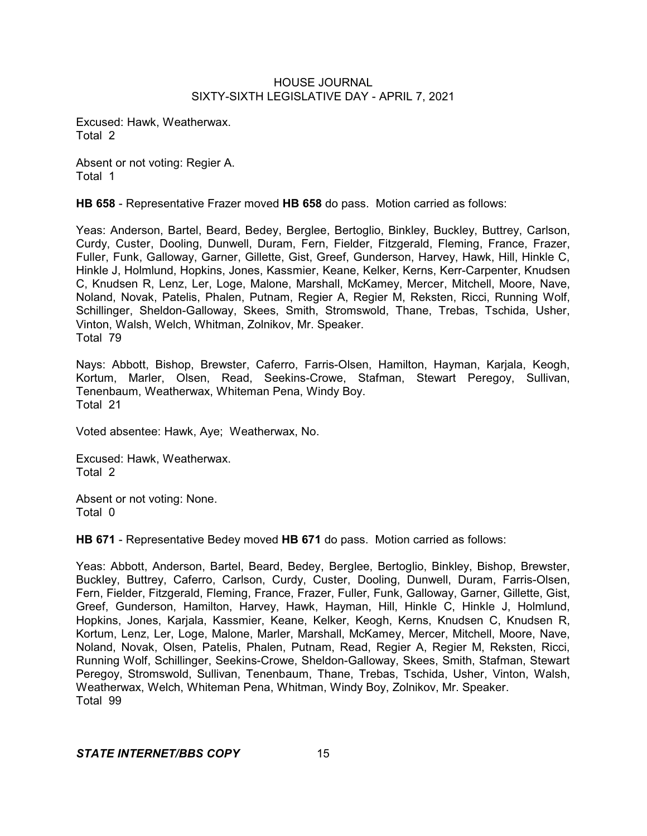Excused: Hawk, Weatherwax. Total 2

Absent or not voting: Regier A. Total 1

**HB 658** - Representative Frazer moved **HB 658** do pass. Motion carried as follows:

Yeas: Anderson, Bartel, Beard, Bedey, Berglee, Bertoglio, Binkley, Buckley, Buttrey, Carlson, Curdy, Custer, Dooling, Dunwell, Duram, Fern, Fielder, Fitzgerald, Fleming, France, Frazer, Fuller, Funk, Galloway, Garner, Gillette, Gist, Greef, Gunderson, Harvey, Hawk, Hill, Hinkle C, Hinkle J, Holmlund, Hopkins, Jones, Kassmier, Keane, Kelker, Kerns, Kerr-Carpenter, Knudsen C, Knudsen R, Lenz, Ler, Loge, Malone, Marshall, McKamey, Mercer, Mitchell, Moore, Nave, Noland, Novak, Patelis, Phalen, Putnam, Regier A, Regier M, Reksten, Ricci, Running Wolf, Schillinger, Sheldon-Galloway, Skees, Smith, Stromswold, Thane, Trebas, Tschida, Usher, Vinton, Walsh, Welch, Whitman, Zolnikov, Mr. Speaker. Total 79

Nays: Abbott, Bishop, Brewster, Caferro, Farris-Olsen, Hamilton, Hayman, Karjala, Keogh, Kortum, Marler, Olsen, Read, Seekins-Crowe, Stafman, Stewart Peregoy, Sullivan, Tenenbaum, Weatherwax, Whiteman Pena, Windy Boy. Total 21

Voted absentee: Hawk, Aye; Weatherwax, No.

Excused: Hawk, Weatherwax. Total 2

Absent or not voting: None. Total 0

**HB 671** - Representative Bedey moved **HB 671** do pass. Motion carried as follows:

Yeas: Abbott, Anderson, Bartel, Beard, Bedey, Berglee, Bertoglio, Binkley, Bishop, Brewster, Buckley, Buttrey, Caferro, Carlson, Curdy, Custer, Dooling, Dunwell, Duram, Farris-Olsen, Fern, Fielder, Fitzgerald, Fleming, France, Frazer, Fuller, Funk, Galloway, Garner, Gillette, Gist, Greef, Gunderson, Hamilton, Harvey, Hawk, Hayman, Hill, Hinkle C, Hinkle J, Holmlund, Hopkins, Jones, Karjala, Kassmier, Keane, Kelker, Keogh, Kerns, Knudsen C, Knudsen R, Kortum, Lenz, Ler, Loge, Malone, Marler, Marshall, McKamey, Mercer, Mitchell, Moore, Nave, Noland, Novak, Olsen, Patelis, Phalen, Putnam, Read, Regier A, Regier M, Reksten, Ricci, Running Wolf, Schillinger, Seekins-Crowe, Sheldon-Galloway, Skees, Smith, Stafman, Stewart Peregoy, Stromswold, Sullivan, Tenenbaum, Thane, Trebas, Tschida, Usher, Vinton, Walsh, Weatherwax, Welch, Whiteman Pena, Whitman, Windy Boy, Zolnikov, Mr. Speaker. Total 99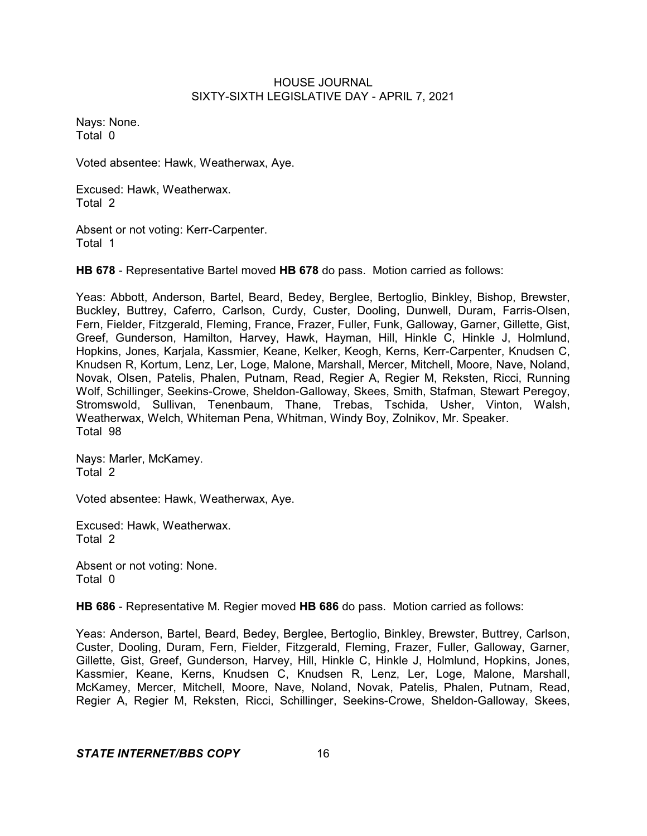Nays: None. Total 0

Voted absentee: Hawk, Weatherwax, Aye.

Excused: Hawk, Weatherwax. Total 2

Absent or not voting: Kerr-Carpenter. Total 1

**HB 678** - Representative Bartel moved **HB 678** do pass. Motion carried as follows:

Yeas: Abbott, Anderson, Bartel, Beard, Bedey, Berglee, Bertoglio, Binkley, Bishop, Brewster, Buckley, Buttrey, Caferro, Carlson, Curdy, Custer, Dooling, Dunwell, Duram, Farris-Olsen, Fern, Fielder, Fitzgerald, Fleming, France, Frazer, Fuller, Funk, Galloway, Garner, Gillette, Gist, Greef, Gunderson, Hamilton, Harvey, Hawk, Hayman, Hill, Hinkle C, Hinkle J, Holmlund, Hopkins, Jones, Karjala, Kassmier, Keane, Kelker, Keogh, Kerns, Kerr-Carpenter, Knudsen C, Knudsen R, Kortum, Lenz, Ler, Loge, Malone, Marshall, Mercer, Mitchell, Moore, Nave, Noland, Novak, Olsen, Patelis, Phalen, Putnam, Read, Regier A, Regier M, Reksten, Ricci, Running Wolf, Schillinger, Seekins-Crowe, Sheldon-Galloway, Skees, Smith, Stafman, Stewart Peregoy, Stromswold, Sullivan, Tenenbaum, Thane, Trebas, Tschida, Usher, Vinton, Walsh, Weatherwax, Welch, Whiteman Pena, Whitman, Windy Boy, Zolnikov, Mr. Speaker. Total 98

Nays: Marler, McKamey. Total 2

Voted absentee: Hawk, Weatherwax, Aye.

Excused: Hawk, Weatherwax. Total 2

Absent or not voting: None. Total 0

**HB 686** - Representative M. Regier moved **HB 686** do pass. Motion carried as follows:

Yeas: Anderson, Bartel, Beard, Bedey, Berglee, Bertoglio, Binkley, Brewster, Buttrey, Carlson, Custer, Dooling, Duram, Fern, Fielder, Fitzgerald, Fleming, Frazer, Fuller, Galloway, Garner, Gillette, Gist, Greef, Gunderson, Harvey, Hill, Hinkle C, Hinkle J, Holmlund, Hopkins, Jones, Kassmier, Keane, Kerns, Knudsen C, Knudsen R, Lenz, Ler, Loge, Malone, Marshall, McKamey, Mercer, Mitchell, Moore, Nave, Noland, Novak, Patelis, Phalen, Putnam, Read, Regier A, Regier M, Reksten, Ricci, Schillinger, Seekins-Crowe, Sheldon-Galloway, Skees,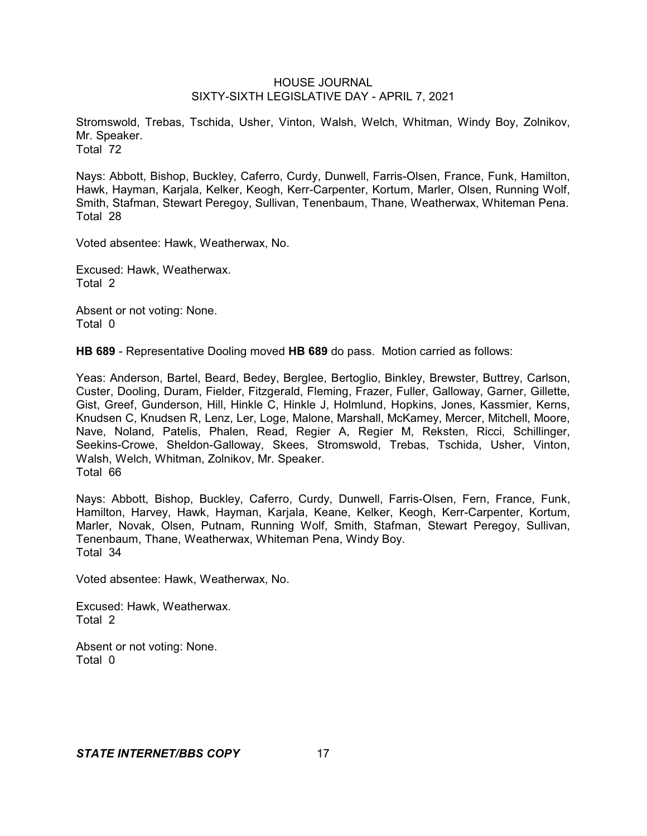Stromswold, Trebas, Tschida, Usher, Vinton, Walsh, Welch, Whitman, Windy Boy, Zolnikov, Mr. Speaker. Total 72

Nays: Abbott, Bishop, Buckley, Caferro, Curdy, Dunwell, Farris-Olsen, France, Funk, Hamilton, Hawk, Hayman, Karjala, Kelker, Keogh, Kerr-Carpenter, Kortum, Marler, Olsen, Running Wolf, Smith, Stafman, Stewart Peregoy, Sullivan, Tenenbaum, Thane, Weatherwax, Whiteman Pena. Total 28

Voted absentee: Hawk, Weatherwax, No.

Excused: Hawk, Weatherwax. Total 2

Absent or not voting: None. Total 0

**HB 689** - Representative Dooling moved **HB 689** do pass. Motion carried as follows:

Yeas: Anderson, Bartel, Beard, Bedey, Berglee, Bertoglio, Binkley, Brewster, Buttrey, Carlson, Custer, Dooling, Duram, Fielder, Fitzgerald, Fleming, Frazer, Fuller, Galloway, Garner, Gillette, Gist, Greef, Gunderson, Hill, Hinkle C, Hinkle J, Holmlund, Hopkins, Jones, Kassmier, Kerns, Knudsen C, Knudsen R, Lenz, Ler, Loge, Malone, Marshall, McKamey, Mercer, Mitchell, Moore, Nave, Noland, Patelis, Phalen, Read, Regier A, Regier M, Reksten, Ricci, Schillinger, Seekins-Crowe, Sheldon-Galloway, Skees, Stromswold, Trebas, Tschida, Usher, Vinton, Walsh, Welch, Whitman, Zolnikov, Mr. Speaker. Total 66

Nays: Abbott, Bishop, Buckley, Caferro, Curdy, Dunwell, Farris-Olsen, Fern, France, Funk, Hamilton, Harvey, Hawk, Hayman, Karjala, Keane, Kelker, Keogh, Kerr-Carpenter, Kortum, Marler, Novak, Olsen, Putnam, Running Wolf, Smith, Stafman, Stewart Peregoy, Sullivan, Tenenbaum, Thane, Weatherwax, Whiteman Pena, Windy Boy. Total 34

Voted absentee: Hawk, Weatherwax, No.

Excused: Hawk, Weatherwax. Total 2

Absent or not voting: None. Total 0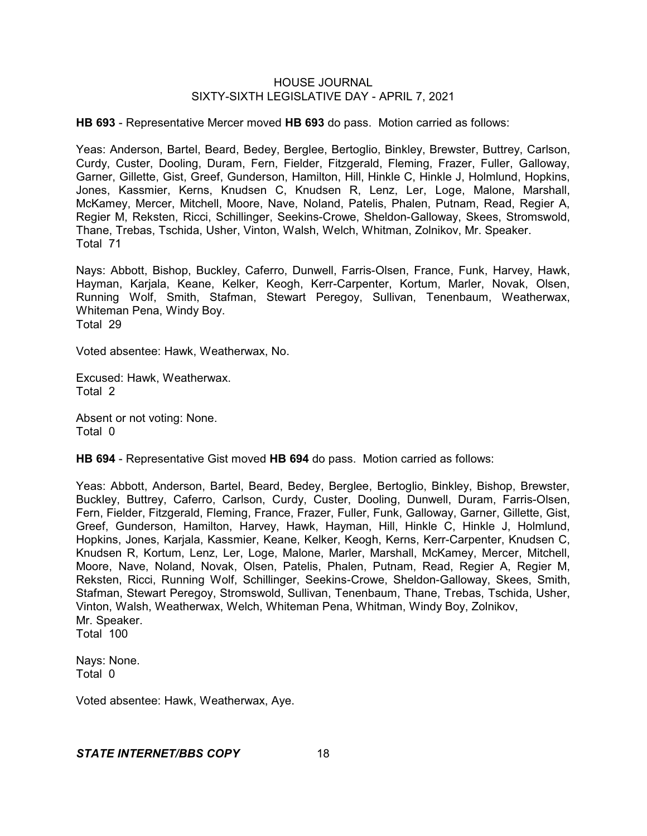**HB 693** - Representative Mercer moved **HB 693** do pass. Motion carried as follows:

Yeas: Anderson, Bartel, Beard, Bedey, Berglee, Bertoglio, Binkley, Brewster, Buttrey, Carlson, Curdy, Custer, Dooling, Duram, Fern, Fielder, Fitzgerald, Fleming, Frazer, Fuller, Galloway, Garner, Gillette, Gist, Greef, Gunderson, Hamilton, Hill, Hinkle C, Hinkle J, Holmlund, Hopkins, Jones, Kassmier, Kerns, Knudsen C, Knudsen R, Lenz, Ler, Loge, Malone, Marshall, McKamey, Mercer, Mitchell, Moore, Nave, Noland, Patelis, Phalen, Putnam, Read, Regier A, Regier M, Reksten, Ricci, Schillinger, Seekins-Crowe, Sheldon-Galloway, Skees, Stromswold, Thane, Trebas, Tschida, Usher, Vinton, Walsh, Welch, Whitman, Zolnikov, Mr. Speaker. Total 71

Nays: Abbott, Bishop, Buckley, Caferro, Dunwell, Farris-Olsen, France, Funk, Harvey, Hawk, Hayman, Karjala, Keane, Kelker, Keogh, Kerr-Carpenter, Kortum, Marler, Novak, Olsen, Running Wolf, Smith, Stafman, Stewart Peregoy, Sullivan, Tenenbaum, Weatherwax, Whiteman Pena, Windy Boy. Total 29

Voted absentee: Hawk, Weatherwax, No.

Excused: Hawk, Weatherwax. Total 2

Absent or not voting: None. Total 0

**HB 694** - Representative Gist moved **HB 694** do pass. Motion carried as follows:

Yeas: Abbott, Anderson, Bartel, Beard, Bedey, Berglee, Bertoglio, Binkley, Bishop, Brewster, Buckley, Buttrey, Caferro, Carlson, Curdy, Custer, Dooling, Dunwell, Duram, Farris-Olsen, Fern, Fielder, Fitzgerald, Fleming, France, Frazer, Fuller, Funk, Galloway, Garner, Gillette, Gist, Greef, Gunderson, Hamilton, Harvey, Hawk, Hayman, Hill, Hinkle C, Hinkle J, Holmlund, Hopkins, Jones, Karjala, Kassmier, Keane, Kelker, Keogh, Kerns, Kerr-Carpenter, Knudsen C, Knudsen R, Kortum, Lenz, Ler, Loge, Malone, Marler, Marshall, McKamey, Mercer, Mitchell, Moore, Nave, Noland, Novak, Olsen, Patelis, Phalen, Putnam, Read, Regier A, Regier M, Reksten, Ricci, Running Wolf, Schillinger, Seekins-Crowe, Sheldon-Galloway, Skees, Smith, Stafman, Stewart Peregoy, Stromswold, Sullivan, Tenenbaum, Thane, Trebas, Tschida, Usher, Vinton, Walsh, Weatherwax, Welch, Whiteman Pena, Whitman, Windy Boy, Zolnikov, Mr. Speaker. Total 100

Nays: None. Total 0

Voted absentee: Hawk, Weatherwax, Aye.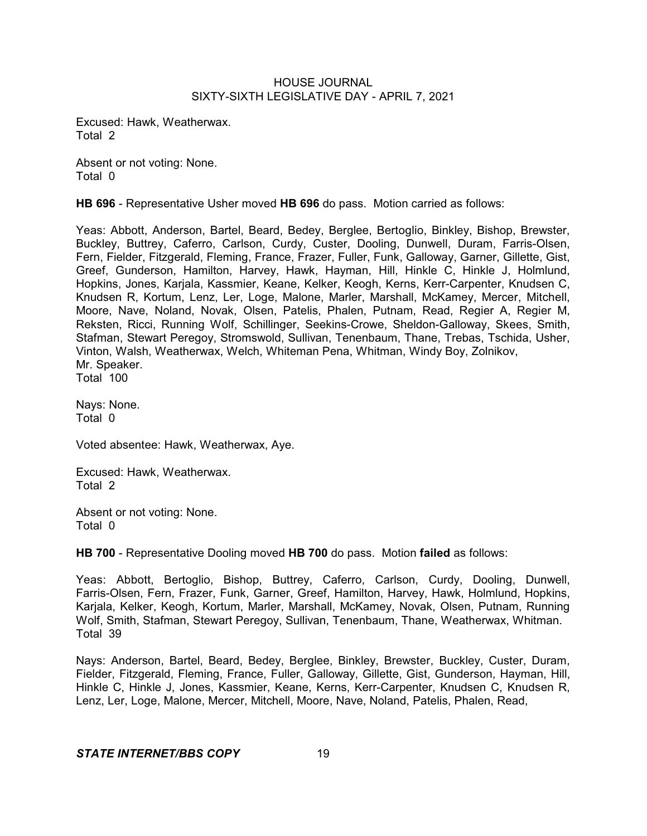Excused: Hawk, Weatherwax. Total 2

Absent or not voting: None. Total 0

**HB 696** - Representative Usher moved **HB 696** do pass. Motion carried as follows:

Yeas: Abbott, Anderson, Bartel, Beard, Bedey, Berglee, Bertoglio, Binkley, Bishop, Brewster, Buckley, Buttrey, Caferro, Carlson, Curdy, Custer, Dooling, Dunwell, Duram, Farris-Olsen, Fern, Fielder, Fitzgerald, Fleming, France, Frazer, Fuller, Funk, Galloway, Garner, Gillette, Gist, Greef, Gunderson, Hamilton, Harvey, Hawk, Hayman, Hill, Hinkle C, Hinkle J, Holmlund, Hopkins, Jones, Karjala, Kassmier, Keane, Kelker, Keogh, Kerns, Kerr-Carpenter, Knudsen C, Knudsen R, Kortum, Lenz, Ler, Loge, Malone, Marler, Marshall, McKamey, Mercer, Mitchell, Moore, Nave, Noland, Novak, Olsen, Patelis, Phalen, Putnam, Read, Regier A, Regier M, Reksten, Ricci, Running Wolf, Schillinger, Seekins-Crowe, Sheldon-Galloway, Skees, Smith, Stafman, Stewart Peregoy, Stromswold, Sullivan, Tenenbaum, Thane, Trebas, Tschida, Usher, Vinton, Walsh, Weatherwax, Welch, Whiteman Pena, Whitman, Windy Boy, Zolnikov, Mr. Speaker. Total 100

Nays: None. Total 0

Voted absentee: Hawk, Weatherwax, Aye.

Excused: Hawk, Weatherwax. Total 2

Absent or not voting: None. Total 0

**HB 700** - Representative Dooling moved **HB 700** do pass. Motion **failed** as follows:

Yeas: Abbott, Bertoglio, Bishop, Buttrey, Caferro, Carlson, Curdy, Dooling, Dunwell, Farris-Olsen, Fern, Frazer, Funk, Garner, Greef, Hamilton, Harvey, Hawk, Holmlund, Hopkins, Karjala, Kelker, Keogh, Kortum, Marler, Marshall, McKamey, Novak, Olsen, Putnam, Running Wolf, Smith, Stafman, Stewart Peregoy, Sullivan, Tenenbaum, Thane, Weatherwax, Whitman. Total 39

Nays: Anderson, Bartel, Beard, Bedey, Berglee, Binkley, Brewster, Buckley, Custer, Duram, Fielder, Fitzgerald, Fleming, France, Fuller, Galloway, Gillette, Gist, Gunderson, Hayman, Hill, Hinkle C, Hinkle J, Jones, Kassmier, Keane, Kerns, Kerr-Carpenter, Knudsen C, Knudsen R, Lenz, Ler, Loge, Malone, Mercer, Mitchell, Moore, Nave, Noland, Patelis, Phalen, Read,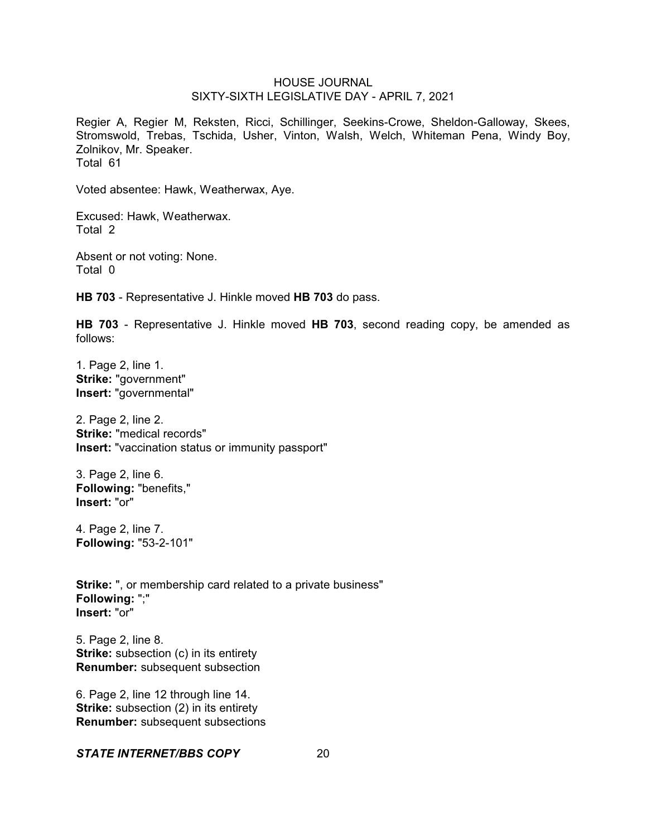Regier A, Regier M, Reksten, Ricci, Schillinger, Seekins-Crowe, Sheldon-Galloway, Skees, Stromswold, Trebas, Tschida, Usher, Vinton, Walsh, Welch, Whiteman Pena, Windy Boy, Zolnikov, Mr. Speaker. Total 61

Voted absentee: Hawk, Weatherwax, Aye.

Excused: Hawk, Weatherwax. Total 2

Absent or not voting: None. Total 0

**HB 703** - Representative J. Hinkle moved **HB 703** do pass.

**HB 703** - Representative J. Hinkle moved **HB 703**, second reading copy, be amended as follows:

1. Page 2, line 1. **Strike:** "government" **Insert:** "governmental"

2. Page 2, line 2. **Strike:** "medical records" **Insert:** "vaccination status or immunity passport"

3. Page 2, line 6. **Following:** "benefits," **Insert:** "or"

4. Page 2, line 7. **Following:** "53-2-101"

**Strike:** ", or membership card related to a private business" **Following:** ";" **Insert:** "or"

5. Page 2, line 8. **Strike:** subsection (c) in its entirety **Renumber:** subsequent subsection

6. Page 2, line 12 through line 14. **Strike:** subsection (2) in its entirety **Renumber:** subsequent subsections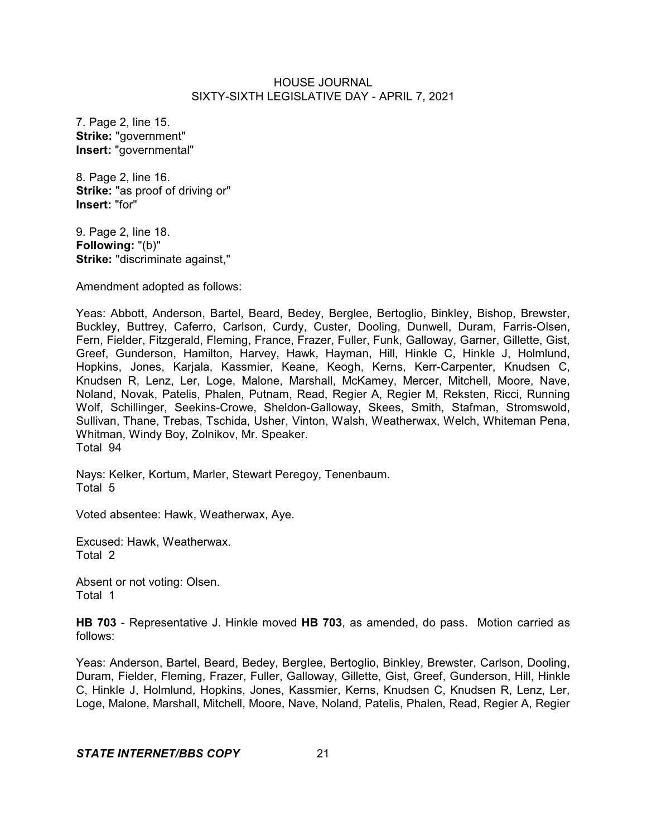7. Page 2, line 15. **Strike:** "government" **Insert:** "governmental"

8. Page 2, line 16. **Strike:** "as proof of driving or" **Insert:** "for"

9. Page 2, line 18. **Following:** "(b)" **Strike:** "discriminate against,"

Amendment adopted as follows:

Yeas: Abbott, Anderson, Bartel, Beard, Bedey, Berglee, Bertoglio, Binkley, Bishop, Brewster, Buckley, Buttrey, Caferro, Carlson, Curdy, Custer, Dooling, Dunwell, Duram, Farris-Olsen, Fern, Fielder, Fitzgerald, Fleming, France, Frazer, Fuller, Funk, Galloway, Garner, Gillette, Gist, Greef, Gunderson, Hamilton, Harvey, Hawk, Hayman, Hill, Hinkle C, Hinkle J, Holmlund, Hopkins, Jones, Karjala, Kassmier, Keane, Keogh, Kerns, Kerr-Carpenter, Knudsen C, Knudsen R, Lenz, Ler, Loge, Malone, Marshall, McKamey, Mercer, Mitchell, Moore, Nave, Noland, Novak, Patelis, Phalen, Putnam, Read, Regier A, Regier M, Reksten, Ricci, Running Wolf, Schillinger, Seekins-Crowe, Sheldon-Galloway, Skees, Smith, Stafman, Stromswold, Sullivan, Thane, Trebas, Tschida, Usher, Vinton, Walsh, Weatherwax, Welch, Whiteman Pena, Whitman, Windy Boy, Zolnikov, Mr. Speaker. Total 94

Nays: Kelker, Kortum, Marler, Stewart Peregoy, Tenenbaum. Total 5

Voted absentee: Hawk, Weatherwax, Aye.

Excused: Hawk, Weatherwax. Total 2

Absent or not voting: Olsen. Total 1

**HB 703** - Representative J. Hinkle moved **HB 703**, as amended, do pass. Motion carried as follows:

Yeas: Anderson, Bartel, Beard, Bedey, Berglee, Bertoglio, Binkley, Brewster, Carlson, Dooling, Duram, Fielder, Fleming, Frazer, Fuller, Galloway, Gillette, Gist, Greef, Gunderson, Hill, Hinkle C, Hinkle J, Holmlund, Hopkins, Jones, Kassmier, Kerns, Knudsen C, Knudsen R, Lenz, Ler, Loge, Malone, Marshall, Mitchell, Moore, Nave, Noland, Patelis, Phalen, Read, Regier A, Regier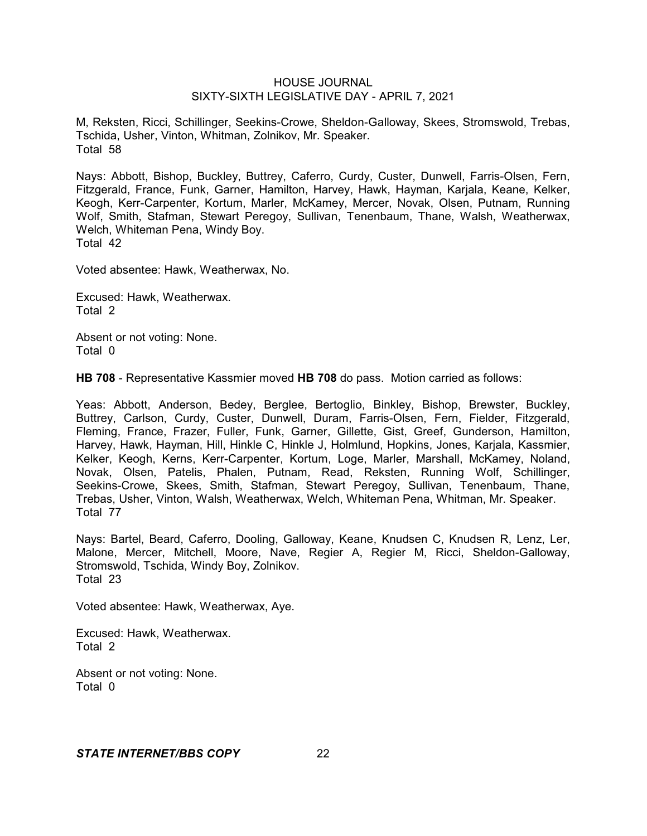M, Reksten, Ricci, Schillinger, Seekins-Crowe, Sheldon-Galloway, Skees, Stromswold, Trebas, Tschida, Usher, Vinton, Whitman, Zolnikov, Mr. Speaker. Total 58

Nays: Abbott, Bishop, Buckley, Buttrey, Caferro, Curdy, Custer, Dunwell, Farris-Olsen, Fern, Fitzgerald, France, Funk, Garner, Hamilton, Harvey, Hawk, Hayman, Karjala, Keane, Kelker, Keogh, Kerr-Carpenter, Kortum, Marler, McKamey, Mercer, Novak, Olsen, Putnam, Running Wolf, Smith, Stafman, Stewart Peregoy, Sullivan, Tenenbaum, Thane, Walsh, Weatherwax, Welch, Whiteman Pena, Windy Boy. Total 42

Voted absentee: Hawk, Weatherwax, No.

Excused: Hawk, Weatherwax. Total 2

Absent or not voting: None. Total 0

**HB 708** - Representative Kassmier moved **HB 708** do pass. Motion carried as follows:

Yeas: Abbott, Anderson, Bedey, Berglee, Bertoglio, Binkley, Bishop, Brewster, Buckley, Buttrey, Carlson, Curdy, Custer, Dunwell, Duram, Farris-Olsen, Fern, Fielder, Fitzgerald, Fleming, France, Frazer, Fuller, Funk, Garner, Gillette, Gist, Greef, Gunderson, Hamilton, Harvey, Hawk, Hayman, Hill, Hinkle C, Hinkle J, Holmlund, Hopkins, Jones, Karjala, Kassmier, Kelker, Keogh, Kerns, Kerr-Carpenter, Kortum, Loge, Marler, Marshall, McKamey, Noland, Novak, Olsen, Patelis, Phalen, Putnam, Read, Reksten, Running Wolf, Schillinger, Seekins-Crowe, Skees, Smith, Stafman, Stewart Peregoy, Sullivan, Tenenbaum, Thane, Trebas, Usher, Vinton, Walsh, Weatherwax, Welch, Whiteman Pena, Whitman, Mr. Speaker. Total 77

Nays: Bartel, Beard, Caferro, Dooling, Galloway, Keane, Knudsen C, Knudsen R, Lenz, Ler, Malone, Mercer, Mitchell, Moore, Nave, Regier A, Regier M, Ricci, Sheldon-Galloway, Stromswold, Tschida, Windy Boy, Zolnikov. Total 23

Voted absentee: Hawk, Weatherwax, Aye.

Excused: Hawk, Weatherwax. Total 2

Absent or not voting: None. Total 0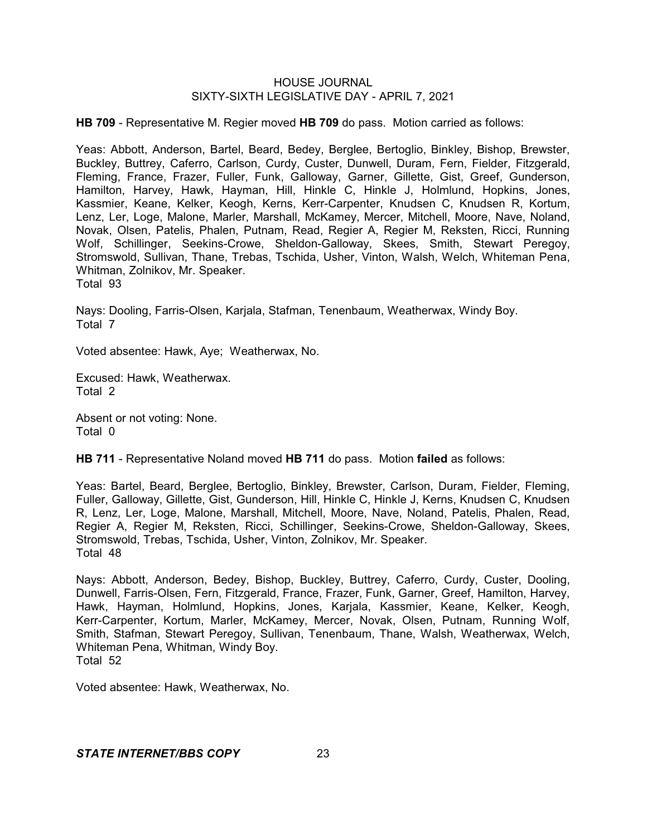**HB 709** - Representative M. Regier moved **HB 709** do pass. Motion carried as follows:

Yeas: Abbott, Anderson, Bartel, Beard, Bedey, Berglee, Bertoglio, Binkley, Bishop, Brewster, Buckley, Buttrey, Caferro, Carlson, Curdy, Custer, Dunwell, Duram, Fern, Fielder, Fitzgerald, Fleming, France, Frazer, Fuller, Funk, Galloway, Garner, Gillette, Gist, Greef, Gunderson, Hamilton, Harvey, Hawk, Hayman, Hill, Hinkle C, Hinkle J, Holmlund, Hopkins, Jones, Kassmier, Keane, Kelker, Keogh, Kerns, Kerr-Carpenter, Knudsen C, Knudsen R, Kortum, Lenz, Ler, Loge, Malone, Marler, Marshall, McKamey, Mercer, Mitchell, Moore, Nave, Noland, Novak, Olsen, Patelis, Phalen, Putnam, Read, Regier A, Regier M, Reksten, Ricci, Running Wolf, Schillinger, Seekins-Crowe, Sheldon-Galloway, Skees, Smith, Stewart Peregoy, Stromswold, Sullivan, Thane, Trebas, Tschida, Usher, Vinton, Walsh, Welch, Whiteman Pena, Whitman, Zolnikov, Mr. Speaker.

Total 93

Nays: Dooling, Farris-Olsen, Karjala, Stafman, Tenenbaum, Weatherwax, Windy Boy. Total 7

Voted absentee: Hawk, Aye; Weatherwax, No.

Excused: Hawk, Weatherwax. Total 2

Absent or not voting: None. Total 0

**HB 711** - Representative Noland moved **HB 711** do pass. Motion **failed** as follows:

Yeas: Bartel, Beard, Berglee, Bertoglio, Binkley, Brewster, Carlson, Duram, Fielder, Fleming, Fuller, Galloway, Gillette, Gist, Gunderson, Hill, Hinkle C, Hinkle J, Kerns, Knudsen C, Knudsen R, Lenz, Ler, Loge, Malone, Marshall, Mitchell, Moore, Nave, Noland, Patelis, Phalen, Read, Regier A, Regier M, Reksten, Ricci, Schillinger, Seekins-Crowe, Sheldon-Galloway, Skees, Stromswold, Trebas, Tschida, Usher, Vinton, Zolnikov, Mr. Speaker. Total 48

Nays: Abbott, Anderson, Bedey, Bishop, Buckley, Buttrey, Caferro, Curdy, Custer, Dooling, Dunwell, Farris-Olsen, Fern, Fitzgerald, France, Frazer, Funk, Garner, Greef, Hamilton, Harvey, Hawk, Hayman, Holmlund, Hopkins, Jones, Karjala, Kassmier, Keane, Kelker, Keogh, Kerr-Carpenter, Kortum, Marler, McKamey, Mercer, Novak, Olsen, Putnam, Running Wolf, Smith, Stafman, Stewart Peregoy, Sullivan, Tenenbaum, Thane, Walsh, Weatherwax, Welch, Whiteman Pena, Whitman, Windy Boy. Total 52

Voted absentee: Hawk, Weatherwax, No.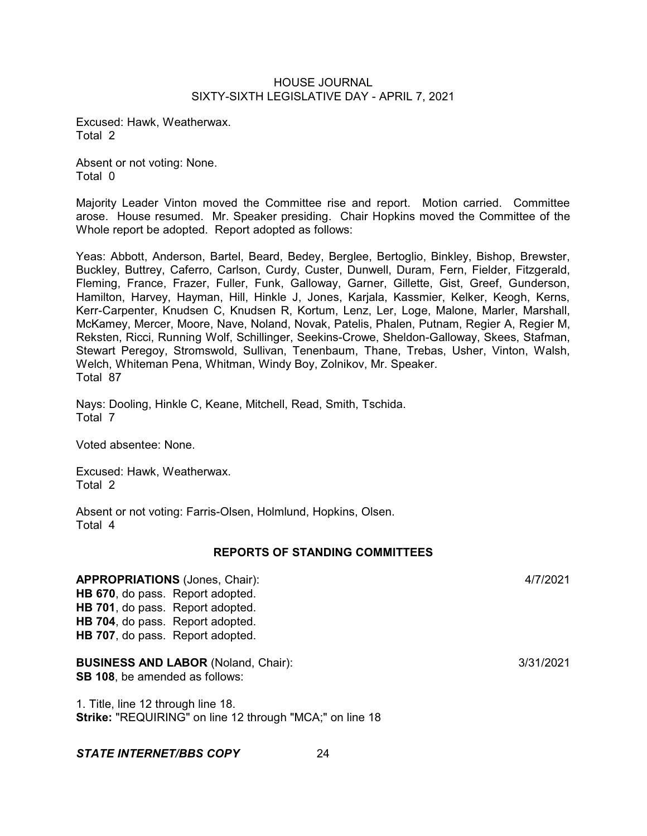Excused: Hawk, Weatherwax. Total 2

Absent or not voting: None. Total 0

Majority Leader Vinton moved the Committee rise and report. Motion carried. Committee arose. House resumed. Mr. Speaker presiding. Chair Hopkins moved the Committee of the Whole report be adopted. Report adopted as follows:

Yeas: Abbott, Anderson, Bartel, Beard, Bedey, Berglee, Bertoglio, Binkley, Bishop, Brewster, Buckley, Buttrey, Caferro, Carlson, Curdy, Custer, Dunwell, Duram, Fern, Fielder, Fitzgerald, Fleming, France, Frazer, Fuller, Funk, Galloway, Garner, Gillette, Gist, Greef, Gunderson, Hamilton, Harvey, Hayman, Hill, Hinkle J, Jones, Karjala, Kassmier, Kelker, Keogh, Kerns, Kerr-Carpenter, Knudsen C, Knudsen R, Kortum, Lenz, Ler, Loge, Malone, Marler, Marshall, McKamey, Mercer, Moore, Nave, Noland, Novak, Patelis, Phalen, Putnam, Regier A, Regier M, Reksten, Ricci, Running Wolf, Schillinger, Seekins-Crowe, Sheldon-Galloway, Skees, Stafman, Stewart Peregoy, Stromswold, Sullivan, Tenenbaum, Thane, Trebas, Usher, Vinton, Walsh, Welch, Whiteman Pena, Whitman, Windy Boy, Zolnikov, Mr. Speaker. Total 87

Nays: Dooling, Hinkle C, Keane, Mitchell, Read, Smith, Tschida. Total 7

Voted absentee: None.

Excused: Hawk, Weatherwax. Total 2

Absent or not voting: Farris-Olsen, Holmlund, Hopkins, Olsen. Total 4

#### **REPORTS OF STANDING COMMITTEES**

**APPROPRIATIONS** (Jones, Chair): 4/7/2021 **HB 670**, do pass. Report adopted. **HB 701**, do pass. Report adopted. **HB 704**, do pass. Report adopted. **HB 707**, do pass. Report adopted.

**BUSINESS AND LABOR** (Noland, Chair): 3/31/2021 **SB 108**, be amended as follows:

1. Title, line 12 through line 18. **Strike:** "REQUIRING" on line 12 through "MCA;" on line 18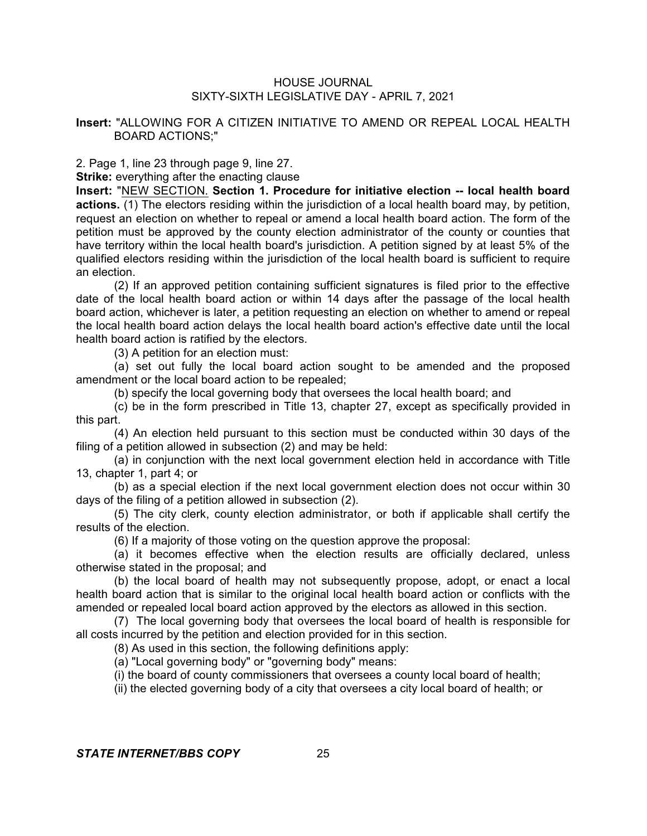# **Insert:** "ALLOWING FOR A CITIZEN INITIATIVE TO AMEND OR REPEAL LOCAL HEALTH BOARD ACTIONS;"

2. Page 1, line 23 through page 9, line 27.

**Strike:** everything after the enacting clause

**Insert:** "NEW SECTION. **Section 1. Procedure for initiative election -- local health board actions.** (1) The electors residing within the jurisdiction of a local health board may, by petition, request an election on whether to repeal or amend a local health board action. The form of the petition must be approved by the county election administrator of the county or counties that have territory within the local health board's jurisdiction. A petition signed by at least 5% of the qualified electors residing within the jurisdiction of the local health board is sufficient to require an election.

(2) If an approved petition containing sufficient signatures is filed prior to the effective date of the local health board action or within 14 days after the passage of the local health board action, whichever is later, a petition requesting an election on whether to amend or repeal the local health board action delays the local health board action's effective date until the local health board action is ratified by the electors.

(3) A petition for an election must:

(a) set out fully the local board action sought to be amended and the proposed amendment or the local board action to be repealed;

(b) specify the local governing body that oversees the local health board; and

(c) be in the form prescribed in Title 13, chapter 27, except as specifically provided in this part.

(4) An election held pursuant to this section must be conducted within 30 days of the filing of a petition allowed in subsection (2) and may be held:

(a) in conjunction with the next local government election held in accordance with Title 13, chapter 1, part 4; or

(b) as a special election if the next local government election does not occur within 30 days of the filing of a petition allowed in subsection (2).

(5) The city clerk, county election administrator, or both if applicable shall certify the results of the election.

(6) If a majority of those voting on the question approve the proposal:

(a) it becomes effective when the election results are officially declared, unless otherwise stated in the proposal; and

(b) the local board of health may not subsequently propose, adopt, or enact a local health board action that is similar to the original local health board action or conflicts with the amended or repealed local board action approved by the electors as allowed in this section.

(7) The local governing body that oversees the local board of health is responsible for all costs incurred by the petition and election provided for in this section.

(8) As used in this section, the following definitions apply:

(a) "Local governing body" or "governing body" means:

(i) the board of county commissioners that oversees a county local board of health;

(ii) the elected governing body of a city that oversees a city local board of health; or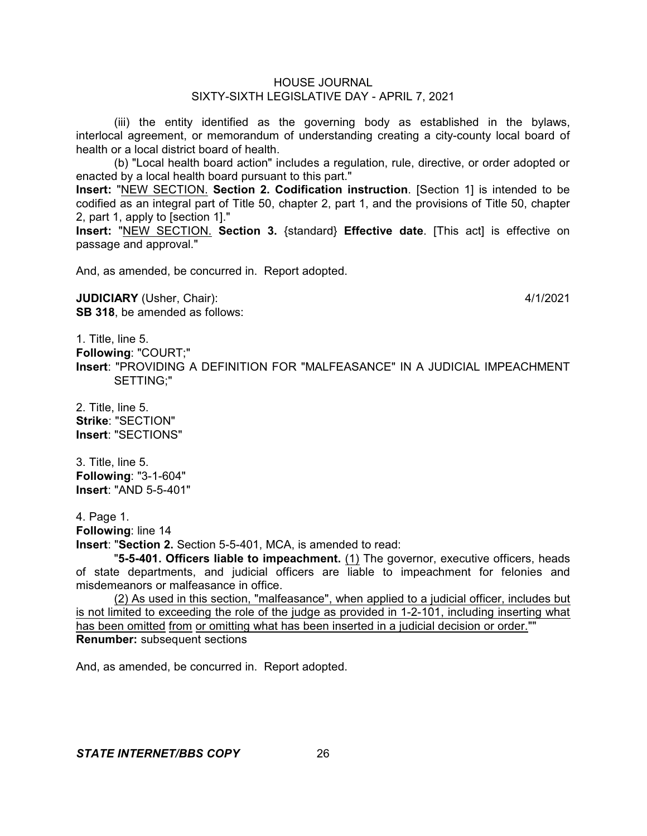(iii) the entity identified as the governing body as established in the bylaws, interlocal agreement, or memorandum of understanding creating a city-county local board of health or a local district board of health.

(b) "Local health board action" includes a regulation, rule, directive, or order adopted or enacted by a local health board pursuant to this part."

**Insert:** "NEW SECTION. **Section 2. Codification instruction**. [Section 1] is intended to be codified as an integral part of Title 50, chapter 2, part 1, and the provisions of Title 50, chapter 2, part 1, apply to [section 1]."

**Insert:** "NEW SECTION. **Section 3.** {standard} **Effective date**. [This act] is effective on passage and approval."

And, as amended, be concurred in. Report adopted.

**JUDICIARY** (Usher, Chair): 4/1/2021 **SB 318**, be amended as follows:

1. Title, line 5. **Following**: "COURT;" **Insert**: "PROVIDING A DEFINITION FOR "MALFEASANCE" IN A JUDICIAL IMPEACHMENT SETTING;"

2. Title, line 5. **Strike**: "SECTION" **Insert**: "SECTIONS"

3. Title, line 5. **Following**: "3-1-604" **Insert**: "AND 5-5-401"

4. Page 1.

**Following**: line 14

**Insert**: "**Section 2.** Section 5-5-401, MCA, is amended to read:

"**5-5-401. Officers liable to impeachment.** (1) The governor, executive officers, heads of state departments, and judicial officers are liable to impeachment for felonies and misdemeanors or malfeasance in office.

(2) As used in this section, "malfeasance", when applied to a judicial officer, includes but is not limited to exceeding the role of the judge as provided in 1-2-101, including inserting what has been omitted from or omitting what has been inserted in a judicial decision or order."" **Renumber:** subsequent sections

And, as amended, be concurred in. Report adopted.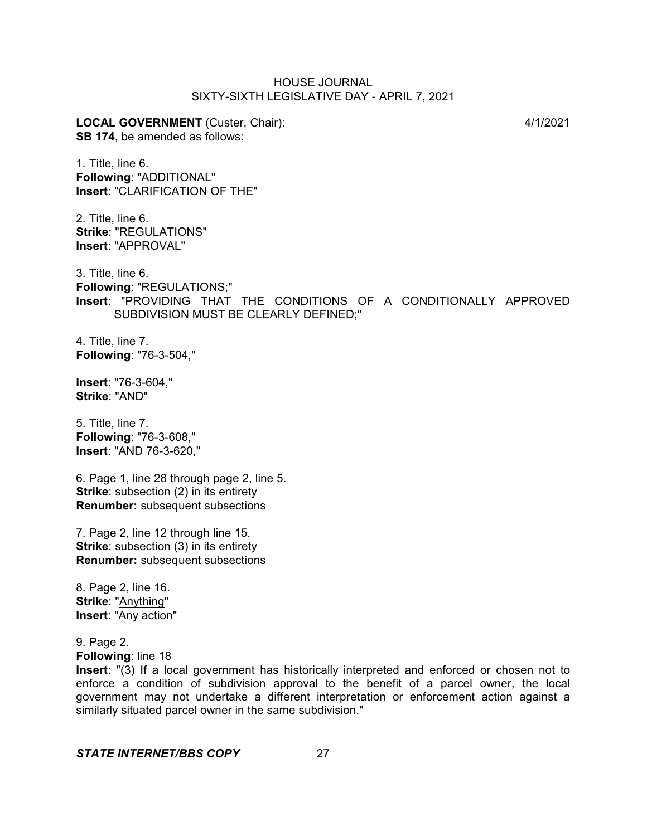**LOCAL GOVERNMENT** (Custer, Chair): 4/1/2021 **SB 174**, be amended as follows:

1. Title, line 6. **Following**: "ADDITIONAL" **Insert**: "CLARIFICATION OF THE"

2. Title, line 6. **Strike**: "REGULATIONS" **Insert**: "APPROVAL"

3. Title, line 6. **Following**: "REGULATIONS;" **Insert**: "PROVIDING THAT THE CONDITIONS OF A CONDITIONALLY APPROVED SUBDIVISION MUST BE CLEARLY DEFINED;"

4. Title, line 7. **Following**: "76-3-504,"

**Insert**: "76-3-604," **Strike**: "AND"

5. Title, line 7. **Following**: "76-3-608," **Insert**: "AND 76-3-620,"

6. Page 1, line 28 through page 2, line 5. **Strike:** subsection (2) in its entirety **Renumber:** subsequent subsections

7. Page 2, line 12 through line 15. **Strike:** subsection (3) in its entirety **Renumber:** subsequent subsections

8. Page 2, line 16. **Strike**: "Anything" **Insert**: "Any action"

9. Page 2. **Following**: line 18

**Insert**: "(3) If a local government has historically interpreted and enforced or chosen not to enforce a condition of subdivision approval to the benefit of a parcel owner, the local government may not undertake a different interpretation or enforcement action against a similarly situated parcel owner in the same subdivision."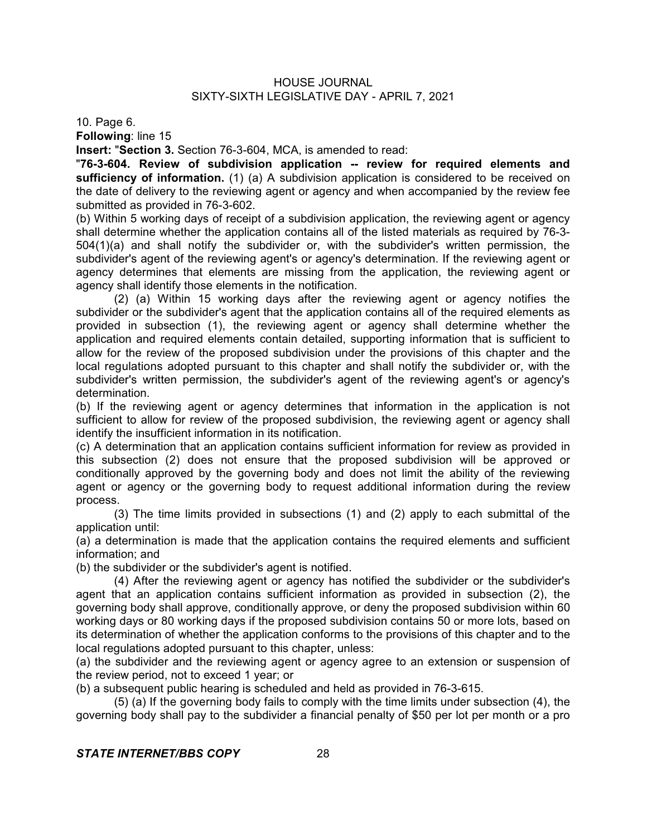10. Page 6.

**Following**: line 15

**Insert:** "**Section 3.** Section 76-3-604, MCA, is amended to read:

"**76-3-604. Review of subdivision application -- review for required elements and sufficiency of information.** (1) (a) A subdivision application is considered to be received on the date of delivery to the reviewing agent or agency and when accompanied by the review fee submitted as provided in 76-3-602.

(b) Within 5 working days of receipt of a subdivision application, the reviewing agent or agency shall determine whether the application contains all of the listed materials as required by 76-3- 504(1)(a) and shall notify the subdivider or, with the subdivider's written permission, the subdivider's agent of the reviewing agent's or agency's determination. If the reviewing agent or agency determines that elements are missing from the application, the reviewing agent or agency shall identify those elements in the notification.

(2) (a) Within 15 working days after the reviewing agent or agency notifies the subdivider or the subdivider's agent that the application contains all of the required elements as provided in subsection (1), the reviewing agent or agency shall determine whether the application and required elements contain detailed, supporting information that is sufficient to allow for the review of the proposed subdivision under the provisions of this chapter and the local regulations adopted pursuant to this chapter and shall notify the subdivider or, with the subdivider's written permission, the subdivider's agent of the reviewing agent's or agency's determination.

(b) If the reviewing agent or agency determines that information in the application is not sufficient to allow for review of the proposed subdivision, the reviewing agent or agency shall identify the insufficient information in its notification.

(c) A determination that an application contains sufficient information for review as provided in this subsection (2) does not ensure that the proposed subdivision will be approved or conditionally approved by the governing body and does not limit the ability of the reviewing agent or agency or the governing body to request additional information during the review process.

(3) The time limits provided in subsections (1) and (2) apply to each submittal of the application until:

(a) a determination is made that the application contains the required elements and sufficient information; and

(b) the subdivider or the subdivider's agent is notified.

(4) After the reviewing agent or agency has notified the subdivider or the subdivider's agent that an application contains sufficient information as provided in subsection (2), the governing body shall approve, conditionally approve, or deny the proposed subdivision within 60 working days or 80 working days if the proposed subdivision contains 50 or more lots, based on its determination of whether the application conforms to the provisions of this chapter and to the local regulations adopted pursuant to this chapter, unless:

(a) the subdivider and the reviewing agent or agency agree to an extension or suspension of the review period, not to exceed 1 year; or

(b) a subsequent public hearing is scheduled and held as provided in 76-3-615.

(5) (a) If the governing body fails to comply with the time limits under subsection (4), the governing body shall pay to the subdivider a financial penalty of \$50 per lot per month or a pro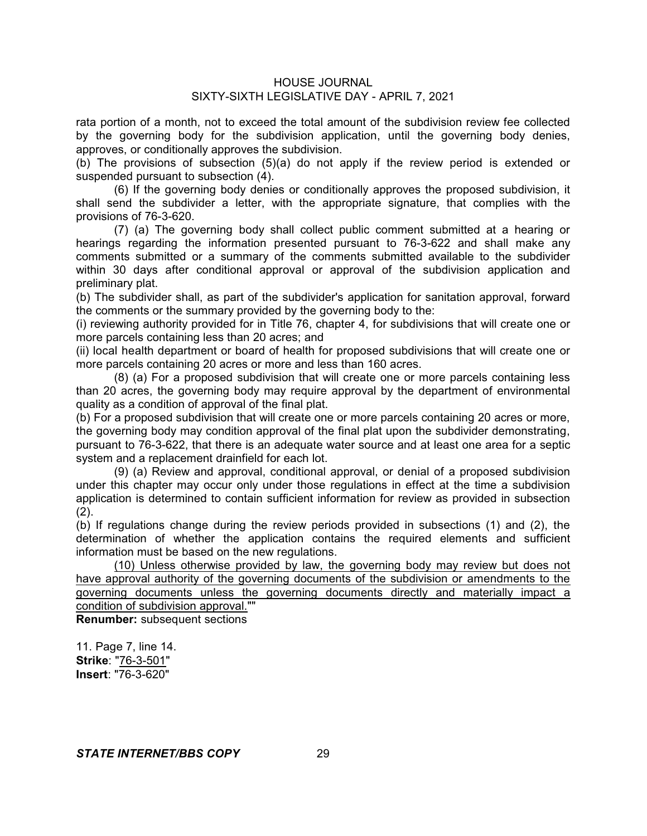rata portion of a month, not to exceed the total amount of the subdivision review fee collected by the governing body for the subdivision application, until the governing body denies, approves, or conditionally approves the subdivision.

(b) The provisions of subsection (5)(a) do not apply if the review period is extended or suspended pursuant to subsection (4).

(6) If the governing body denies or conditionally approves the proposed subdivision, it shall send the subdivider a letter, with the appropriate signature, that complies with the provisions of 76-3-620.

(7) (a) The governing body shall collect public comment submitted at a hearing or hearings regarding the information presented pursuant to 76-3-622 and shall make any comments submitted or a summary of the comments submitted available to the subdivider within 30 days after conditional approval or approval of the subdivision application and preliminary plat.

(b) The subdivider shall, as part of the subdivider's application for sanitation approval, forward the comments or the summary provided by the governing body to the:

(i) reviewing authority provided for in Title 76, chapter 4, for subdivisions that will create one or more parcels containing less than 20 acres; and

(ii) local health department or board of health for proposed subdivisions that will create one or more parcels containing 20 acres or more and less than 160 acres.

(8) (a) For a proposed subdivision that will create one or more parcels containing less than 20 acres, the governing body may require approval by the department of environmental quality as a condition of approval of the final plat.

(b) For a proposed subdivision that will create one or more parcels containing 20 acres or more, the governing body may condition approval of the final plat upon the subdivider demonstrating, pursuant to 76-3-622, that there is an adequate water source and at least one area for a septic system and a replacement drainfield for each lot.

(9) (a) Review and approval, conditional approval, or denial of a proposed subdivision under this chapter may occur only under those regulations in effect at the time a subdivision application is determined to contain sufficient information for review as provided in subsection  $(2)$ .

(b) If regulations change during the review periods provided in subsections (1) and (2), the determination of whether the application contains the required elements and sufficient information must be based on the new regulations.

(10) Unless otherwise provided by law, the governing body may review but does not have approval authority of the governing documents of the subdivision or amendments to the governing documents unless the governing documents directly and materially impact a condition of subdivision approval.""

**Renumber:** subsequent sections

11. Page 7, line 14. **Strike**: "76-3-501" **Insert**: "76-3-620"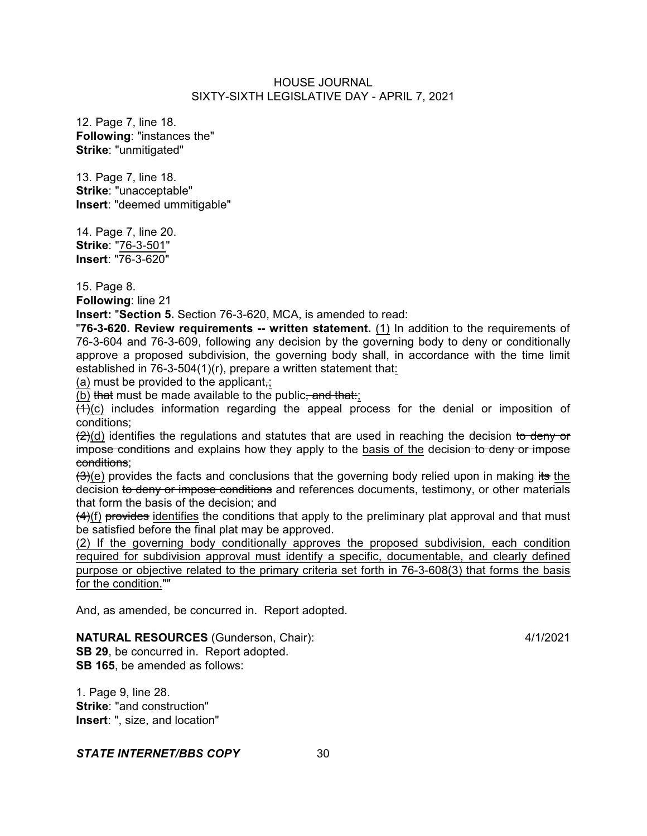12. Page 7, line 18. **Following**: "instances the" **Strike**: "unmitigated"

13. Page 7, line 18. **Strike**: "unacceptable" **Insert**: "deemed ummitigable"

14. Page 7, line 20. **Strike**: "76-3-501" **Insert**: "76-3-620"

15. Page 8.

**Following**: line 21

**Insert:** "**Section 5.** Section 76-3-620, MCA, is amended to read:

"**76-3-620. Review requirements -- written statement.** (1) In addition to the requirements of 76-3-604 and 76-3-609, following any decision by the governing body to deny or conditionally approve a proposed subdivision, the governing body shall, in accordance with the time limit established in 76-3-504(1)(r), prepare a written statement that:

(a) must be provided to the applicant,;

(b) that must be made available to the public, and that:

 $(1)(c)$  includes information regarding the appeal process for the denial or imposition of conditions;

 $(2)(d)$  identifies the regulations and statutes that are used in reaching the decision to deny or impose conditions and explains how they apply to the basis of the decision-to deny or impose conditions;

 $(3)(e)$  provides the facts and conclusions that the governing body relied upon in making its the decision to deny or impose conditions and references documents, testimony, or other materials that form the basis of the decision; and

(4)(f) provides identifies the conditions that apply to the preliminary plat approval and that must be satisfied before the final plat may be approved.

(2) If the governing body conditionally approves the proposed subdivision, each condition required for subdivision approval must identify a specific, documentable, and clearly defined purpose or objective related to the primary criteria set forth in 76-3-608(3) that forms the basis for the condition.""

And, as amended, be concurred in. Report adopted.

# **NATURAL RESOURCES** (Gunderson, Chair): 4/1/2021

**SB 29.** be concurred in. Report adopted. **SB 165**, be amended as follows:

1. Page 9, line 28. **Strike**: "and construction" **Insert**: ", size, and location"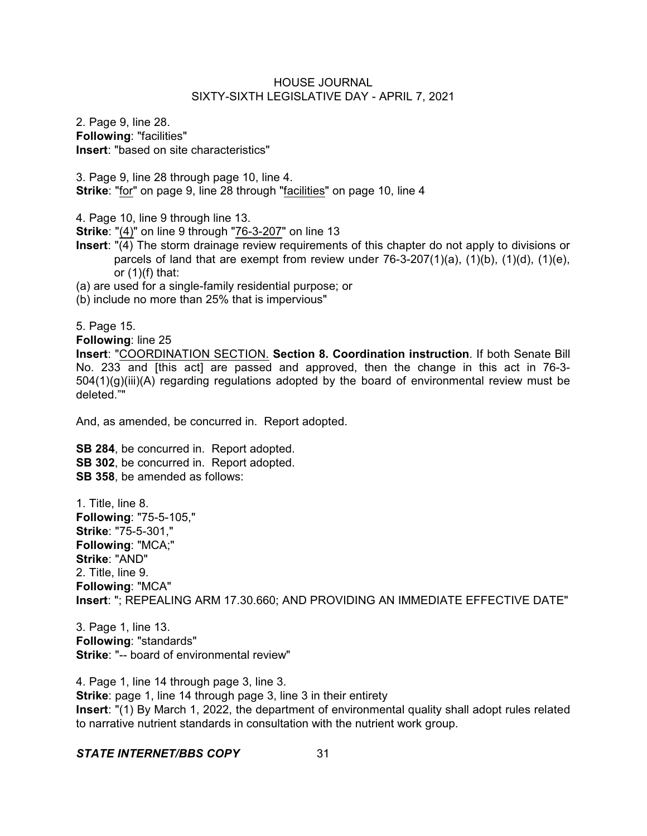2. Page 9, line 28. **Following**: "facilities" **Insert**: "based on site characteristics"

3. Page 9, line 28 through page 10, line 4. **Strike**: "for" on page 9, line 28 through "facilities" on page 10, line 4

4. Page 10, line 9 through line 13.

**Strike**: "(4)" on line 9 through "76-3-207" on line 13

- **Insert**: "(4) The storm drainage review requirements of this chapter do not apply to divisions or parcels of land that are exempt from review under  $76-3-207(1)(a)$ ,  $(1)(b)$ ,  $(1)(d)$ ,  $(1)(e)$ , or  $(1)(f)$  that:
- (a) are used for a single-family residential purpose; or
- (b) include no more than 25% that is impervious"

5. Page 15.

**Following**: line 25

**Insert**: "COORDINATION SECTION. **Section 8. Coordination instruction**. If both Senate Bill No. 233 and [this act] are passed and approved, then the change in this act in 76-3-  $504(1)(q)(iii)(A)$  regarding regulations adopted by the board of environmental review must be deleted.""

And, as amended, be concurred in. Report adopted.

**SB 284**, be concurred in. Report adopted. **SB 302**, be concurred in. Report adopted. **SB 358**, be amended as follows:

1. Title, line 8. **Following**: "75-5-105," **Strike**: "75-5-301," **Following**: "MCA;" **Strike**: "AND" 2. Title, line 9. **Following**: "MCA" **Insert**: "; REPEALING ARM 17.30.660; AND PROVIDING AN IMMEDIATE EFFECTIVE DATE"

3. Page 1, line 13. **Following**: "standards" **Strike**: "-- board of environmental review"

4. Page 1, line 14 through page 3, line 3. **Strike**: page 1, line 14 through page 3, line 3 in their entirety **Insert**: "(1) By March 1, 2022, the department of environmental quality shall adopt rules related to narrative nutrient standards in consultation with the nutrient work group.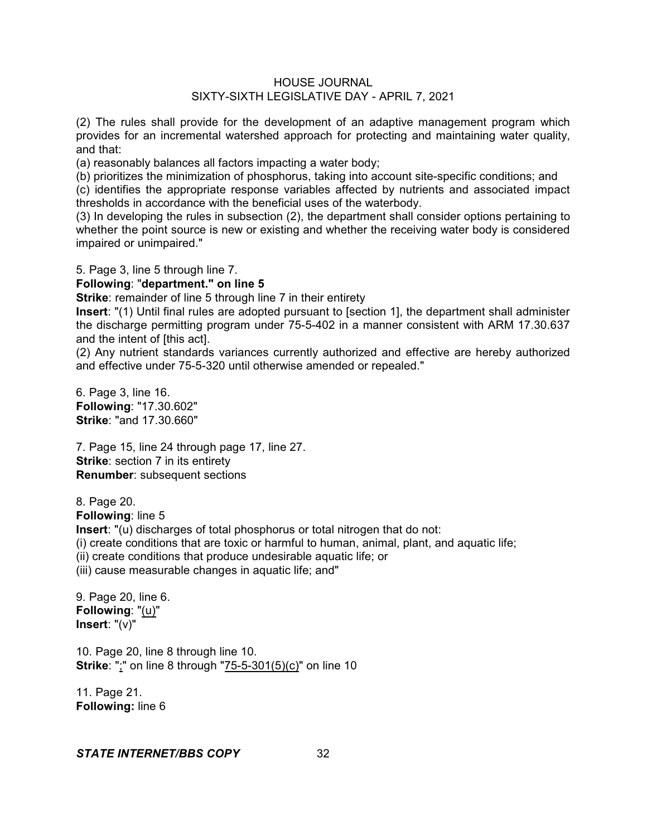(2) The rules shall provide for the development of an adaptive management program which provides for an incremental watershed approach for protecting and maintaining water quality, and that:

(a) reasonably balances all factors impacting a water body;

(b) prioritizes the minimization of phosphorus, taking into account site-specific conditions; and

(c) identifies the appropriate response variables affected by nutrients and associated impact thresholds in accordance with the beneficial uses of the waterbody.

(3) In developing the rules in subsection (2), the department shall consider options pertaining to whether the point source is new or existing and whether the receiving water body is considered impaired or unimpaired."

5. Page 3, line 5 through line 7.

#### **Following**: "**department." on line 5**

**Strike:** remainder of line 5 through line 7 in their entirety

**Insert**: "(1) Until final rules are adopted pursuant to [section 1], the department shall administer the discharge permitting program under 75-5-402 in a manner consistent with ARM 17.30.637 and the intent of [this act].

(2) Any nutrient standards variances currently authorized and effective are hereby authorized and effective under 75-5-320 until otherwise amended or repealed."

6. Page 3, line 16. **Following**: "17.30.602" **Strike**: "and 17.30.660"

7. Page 15, line 24 through page 17, line 27. **Strike:** section 7 in its entirety **Renumber**: subsequent sections

8. Page 20. **Following**: line 5 **Insert**: "(u) discharges of total phosphorus or total nitrogen that do not: (i) create conditions that are toxic or harmful to human, animal, plant, and aquatic life; (ii) create conditions that produce undesirable aquatic life; or (iii) cause measurable changes in aquatic life; and"

9. Page 20, line 6. **Following**: "(u)" **Insert**: "(v)"

10. Page 20, line 8 through line 10. **Strike**: ";" on line 8 through "75-5-301(5)(c)" on line 10

11. Page 21. **Following:** line 6